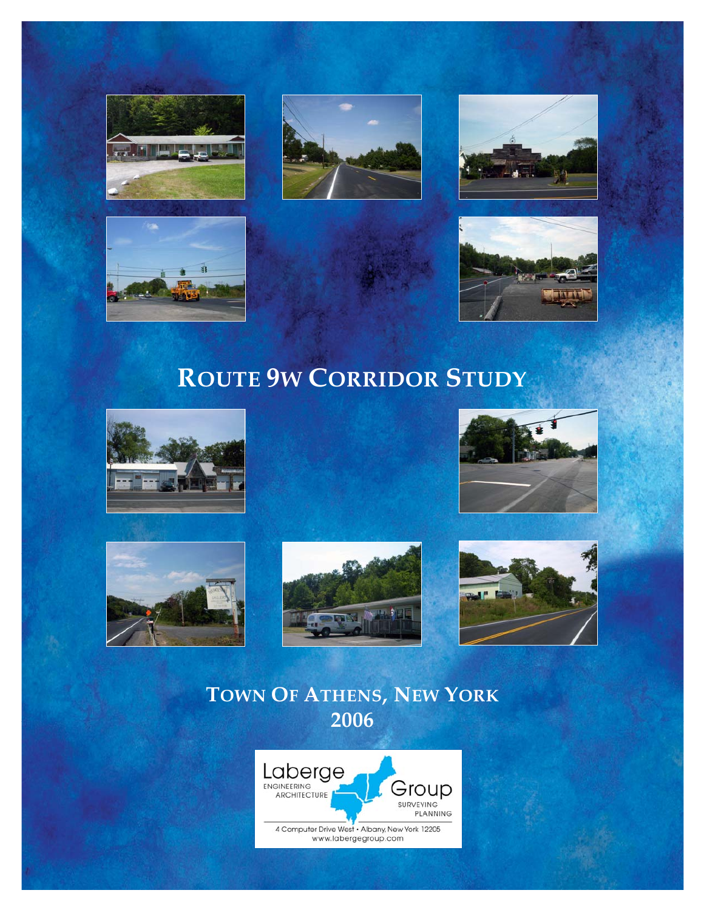









# **ROUTE 9W CORRIDOR STUDY**











# **TOWN OF ATHENS, NEW YORK 2006**

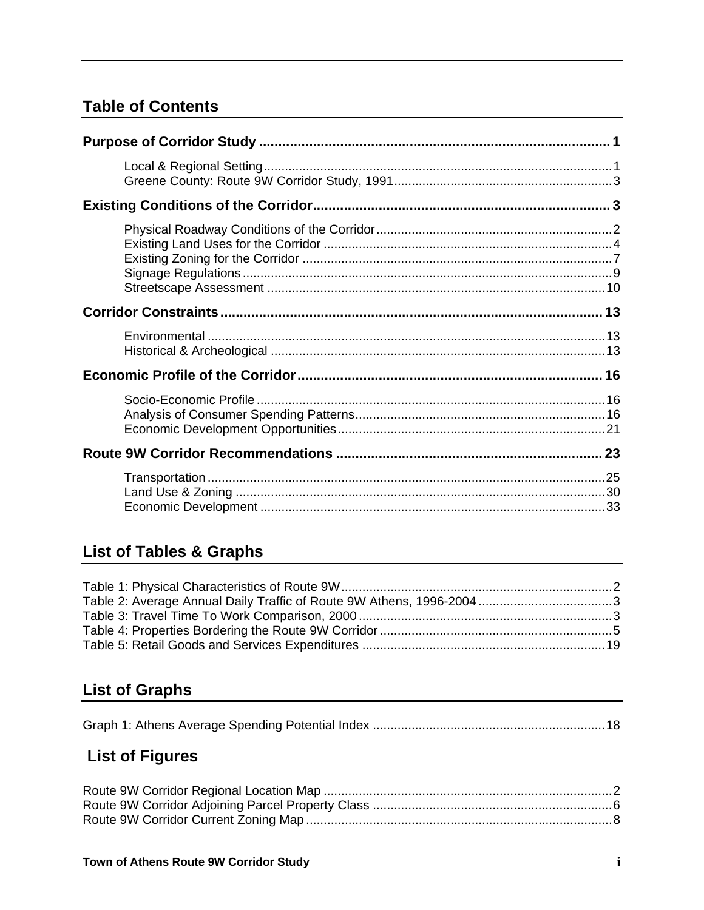# **Table of Contents**

# **List of Tables & Graphs**

# **List of Graphs**

|--|--|--|--|

# **List of Figures**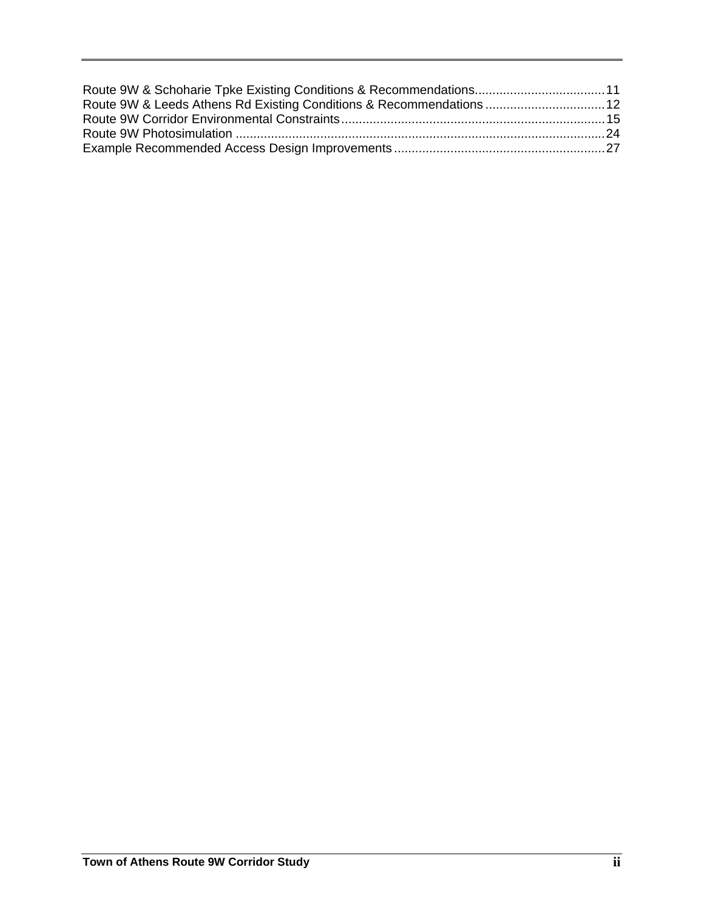| Route 9W & Leeds Athens Rd Existing Conditions & Recommendations  12 |  |
|----------------------------------------------------------------------|--|
|                                                                      |  |
|                                                                      |  |
|                                                                      |  |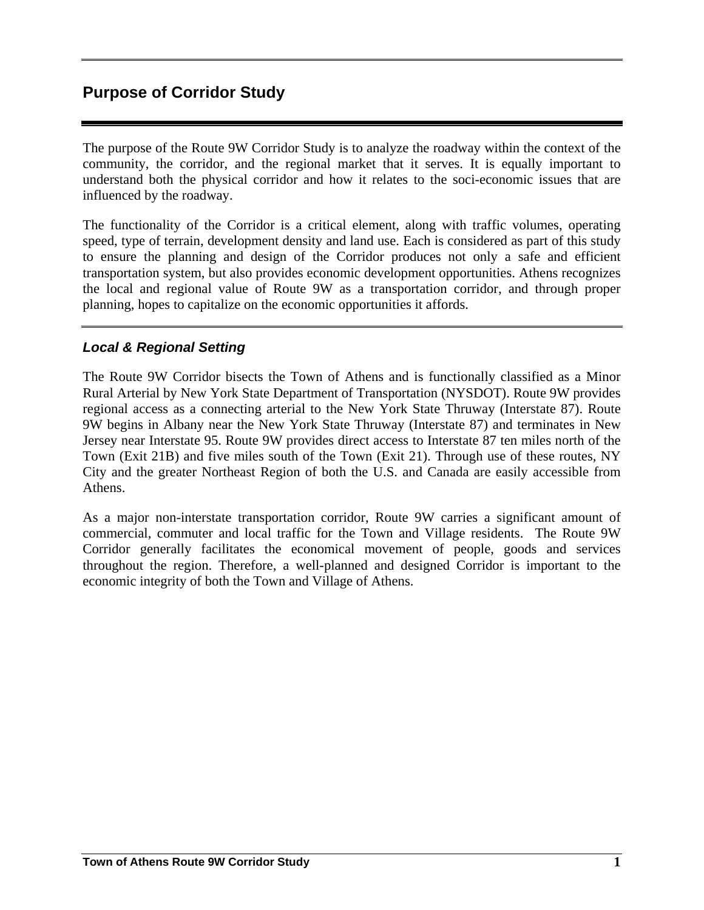The purpose of the Route 9W Corridor Study is to analyze the roadway within the context of the community, the corridor, and the regional market that it serves. It is equally important to understand both the physical corridor and how it relates to the soci-economic issues that are influenced by the roadway.

The functionality of the Corridor is a critical element, along with traffic volumes, operating speed, type of terrain, development density and land use. Each is considered as part of this study to ensure the planning and design of the Corridor produces not only a safe and efficient transportation system, but also provides economic development opportunities. Athens recognizes the local and regional value of Route 9W as a transportation corridor, and through proper planning, hopes to capitalize on the economic opportunities it affords.

### *Local & Regional Setting*

The Route 9W Corridor bisects the Town of Athens and is functionally classified as a Minor Rural Arterial by New York State Department of Transportation (NYSDOT). Route 9W provides regional access as a connecting arterial to the New York State Thruway (Interstate 87). Route 9W begins in Albany near the New York State Thruway (Interstate 87) and terminates in New Jersey near Interstate 95. Route 9W provides direct access to Interstate 87 ten miles north of the Town (Exit 21B) and five miles south of the Town (Exit 21). Through use of these routes, NY City and the greater Northeast Region of both the U.S. and Canada are easily accessible from Athens.

As a major non-interstate transportation corridor, Route 9W carries a significant amount of commercial, commuter and local traffic for the Town and Village residents. The Route 9W Corridor generally facilitates the economical movement of people, goods and services throughout the region. Therefore, a well-planned and designed Corridor is important to the economic integrity of both the Town and Village of Athens.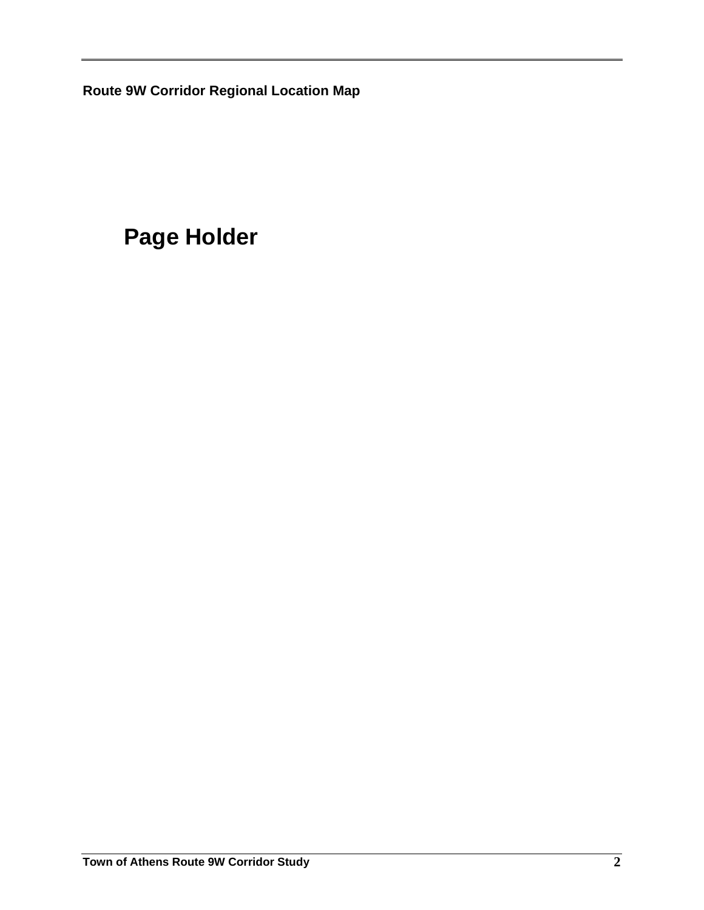**Route 9W Corridor Regional Location Map** 

# **Page Holder**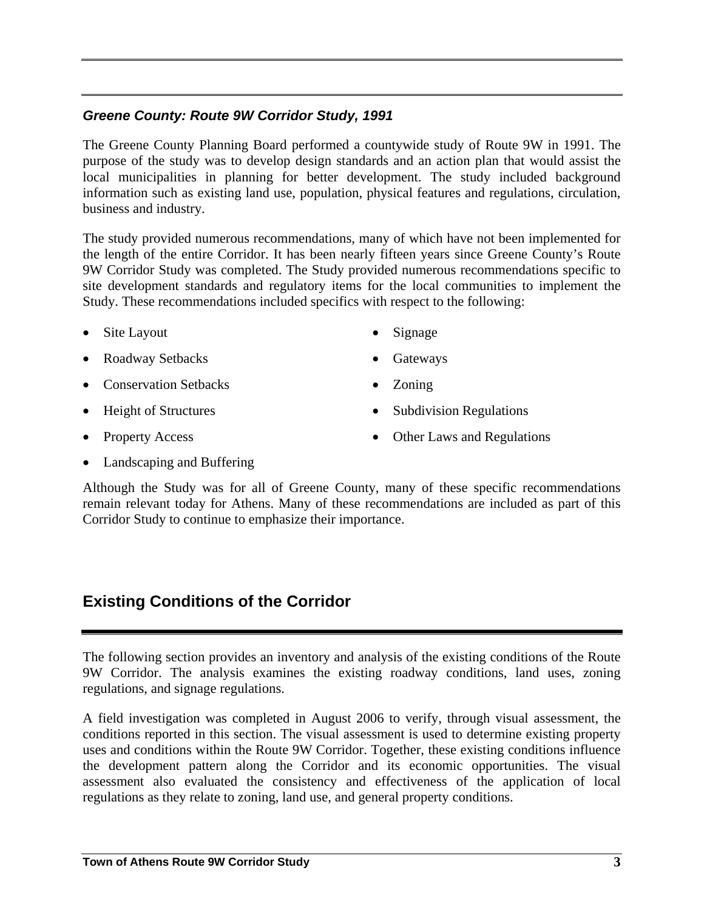### *Greene County: Route 9W Corridor Study, 1991*

The Greene County Planning Board performed a countywide study of Route 9W in 1991. The purpose of the study was to develop design standards and an action plan that would assist the local municipalities in planning for better development. The study included background information such as existing land use, population, physical features and regulations, circulation, business and industry.

The study provided numerous recommendations, many of which have not been implemented for the length of the entire Corridor. It has been nearly fifteen years since Greene County's Route 9W Corridor Study was completed. The Study provided numerous recommendations specific to site development standards and regulatory items for the local communities to implement the Study. These recommendations included specifics with respect to the following:

- Site Layout
- Roadway Setbacks

**Gateways** 

• Signage

• Zoning

- 
- Height of Structures

• Conservation Setbacks

• Property Access

- Subdivision Regulations
- Other Laws and Regulations

• Landscaping and Buffering

Although the Study was for all of Greene County, many of these specific recommendations remain relevant today for Athens. Many of these recommendations are included as part of this Corridor Study to continue to emphasize their importance.

## **Existing Conditions of the Corridor**

The following section provides an inventory and analysis of the existing conditions of the Route 9W Corridor. The analysis examines the existing roadway conditions, land uses, zoning regulations, and signage regulations.

A field investigation was completed in August 2006 to verify, through visual assessment, the conditions reported in this section. The visual assessment is used to determine existing property uses and conditions within the Route 9W Corridor. Together, these existing conditions influence the development pattern along the Corridor and its economic opportunities. The visual assessment also evaluated the consistency and effectiveness of the application of local regulations as they relate to zoning, land use, and general property conditions.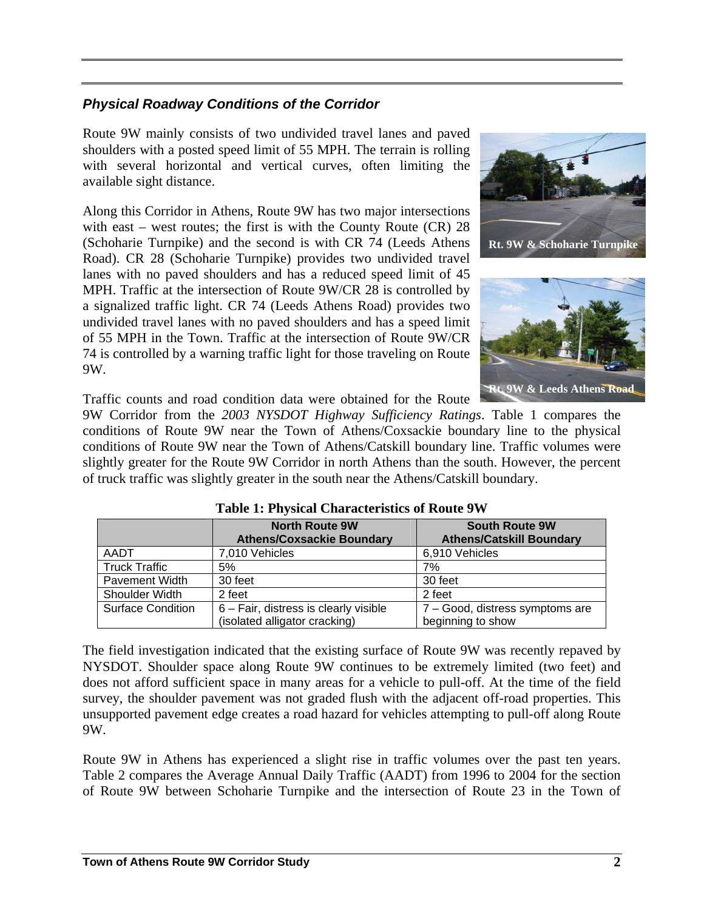## *Physical Roadway Conditions of the Corridor*

Route 9W mainly consists of two undivided travel lanes and paved shoulders with a posted speed limit of 55 MPH. The terrain is rolling with several horizontal and vertical curves, often limiting the available sight distance.

Along this Corridor in Athens, Route 9W has two major intersections with east – west routes; the first is with the County Route (CR) 28 (Schoharie Turnpike) and the second is with CR 74 (Leeds Athens Road). CR 28 (Schoharie Turnpike) provides two undivided travel lanes with no paved shoulders and has a reduced speed limit of 45 MPH. Traffic at the intersection of Route 9W/CR 28 is controlled by a signalized traffic light. CR 74 (Leeds Athens Road) provides two undivided travel lanes with no paved shoulders and has a speed limit of 55 MPH in the Town. Traffic at the intersection of Route 9W/CR 74 is controlled by a warning traffic light for those traveling on Route 9W.





Traffic counts and road condition data were obtained for the Route

9W Corridor from the *2003 NYSDOT Highway Sufficiency Ratings*. Table 1 compares the conditions of Route 9W near the Town of Athens/Coxsackie boundary line to the physical conditions of Route 9W near the Town of Athens/Catskill boundary line. Traffic volumes were slightly greater for the Route 9W Corridor in north Athens than the south. However, the percent of truck traffic was slightly greater in the south near the Athens/Catskill boundary.

|                          | <b>North Route 9W</b>                    | <b>South Route 9W</b>           |
|--------------------------|------------------------------------------|---------------------------------|
|                          | <b>Athens/Coxsackie Boundary</b>         | <b>Athens/Catskill Boundary</b> |
| AADT                     | 7,010 Vehicles                           | 6,910 Vehicles                  |
| <b>Truck Traffic</b>     | 5%                                       | 7%                              |
| <b>Pavement Width</b>    | 30 feet                                  | 30 feet                         |
| Shoulder Width           | 2 feet                                   | 2 feet                          |
| <b>Surface Condition</b> | $6 - Fair$ , distress is clearly visible | 7 - Good, distress symptoms are |
|                          | (isolated alligator cracking)            | beginning to show               |

**Table 1: Physical Characteristics of Route 9W** 

The field investigation indicated that the existing surface of Route 9W was recently repaved by NYSDOT. Shoulder space along Route 9W continues to be extremely limited (two feet) and does not afford sufficient space in many areas for a vehicle to pull-off. At the time of the field survey, the shoulder pavement was not graded flush with the adjacent off-road properties. This unsupported pavement edge creates a road hazard for vehicles attempting to pull-off along Route 9W.

Route 9W in Athens has experienced a slight rise in traffic volumes over the past ten years. Table 2 compares the Average Annual Daily Traffic (AADT) from 1996 to 2004 for the section of Route 9W between Schoharie Turnpike and the intersection of Route 23 in the Town of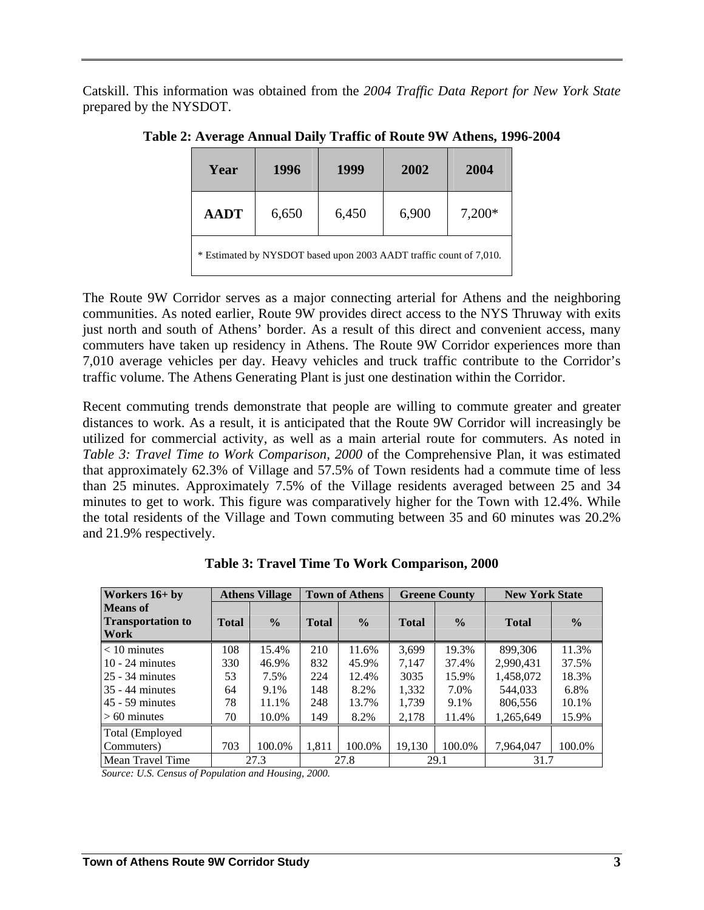Catskill. This information was obtained from the *2004 Traffic Data Report for New York State* prepared by the NYSDOT.

| Year                                                               | 1996  | 1999  | 2002  | 2004     |  |  |  |
|--------------------------------------------------------------------|-------|-------|-------|----------|--|--|--|
| <b>AADT</b>                                                        | 6,650 | 6,450 | 6,900 | $7,200*$ |  |  |  |
| * Estimated by NYSDOT based upon 2003 AADT traffic count of 7,010. |       |       |       |          |  |  |  |

**Table 2: Average Annual Daily Traffic of Route 9W Athens, 1996-2004** 

The Route 9W Corridor serves as a major connecting arterial for Athens and the neighboring communities. As noted earlier, Route 9W provides direct access to the NYS Thruway with exits just north and south of Athens' border. As a result of this direct and convenient access, many commuters have taken up residency in Athens. The Route 9W Corridor experiences more than 7,010 average vehicles per day. Heavy vehicles and truck traffic contribute to the Corridor's traffic volume. The Athens Generating Plant is just one destination within the Corridor.

Recent commuting trends demonstrate that people are willing to commute greater and greater distances to work. As a result, it is anticipated that the Route 9W Corridor will increasingly be utilized for commercial activity, as well as a main arterial route for commuters. As noted in *Table 3: Travel Time to Work Comparison, 2000* of the Comprehensive Plan, it was estimated that approximately 62.3% of Village and 57.5% of Town residents had a commute time of less than 25 minutes. Approximately 7.5% of the Village residents averaged between 25 and 34 minutes to get to work. This figure was comparatively higher for the Town with 12.4%. While the total residents of the Village and Town commuting between 35 and 60 minutes was 20.2% and 21.9% respectively.

| Workers $16+$ by                                    | <b>Athens Village</b> |               | <b>Town of Athens</b> |               | <b>Greene County</b> |               | <b>New York State</b> |               |
|-----------------------------------------------------|-----------------------|---------------|-----------------------|---------------|----------------------|---------------|-----------------------|---------------|
| <b>Means</b> of<br><b>Transportation to</b><br>Work | <b>Total</b>          | $\frac{0}{0}$ | <b>Total</b>          | $\frac{0}{0}$ | <b>Total</b>         | $\frac{6}{9}$ | <b>Total</b>          | $\frac{0}{0}$ |
| $< 10$ minutes                                      | 108                   | 15.4%         | 210                   | 11.6%         | 3.699                | 19.3%         | 899.306               | 11.3%         |
| $10 - 24$ minutes                                   | 330                   | 46.9%         | 832                   | 45.9%         | 7,147                | 37.4%         | 2,990,431             | 37.5%         |
| $25 - 34$ minutes                                   | 53                    | 7.5%          | 224                   | 12.4%         | 3035                 | 15.9%         | 1,458,072             | 18.3%         |
| $35 - 44$ minutes                                   | 64                    | 9.1%          | 148                   | 8.2%          | 1,332                | 7.0%          | 544,033               | 6.8%          |
| $45 - 59$ minutes                                   | 78                    | 11.1%         | 248                   | 13.7%         | 1,739                | 9.1%          | 806,556               | 10.1%         |
| $> 60$ minutes                                      | 70                    | 10.0%         | 149                   | 8.2%          | 2,178                | 11.4%         | 1,265,649             | 15.9%         |
| Total (Employed                                     |                       |               |                       |               |                      |               |                       |               |
| Commuters)                                          | 703                   | 100.0%        | 1,811                 | 100.0%        | 19,130               | 100.0%        | 7,964,047             | 100.0%        |
| <b>Mean Travel Time</b>                             |                       | 27.3          |                       | 27.8          |                      | 29.1          | 31.7                  |               |

**Table 3: Travel Time To Work Comparison, 2000** 

*Source: U.S. Census of Population and Housing, 2000.*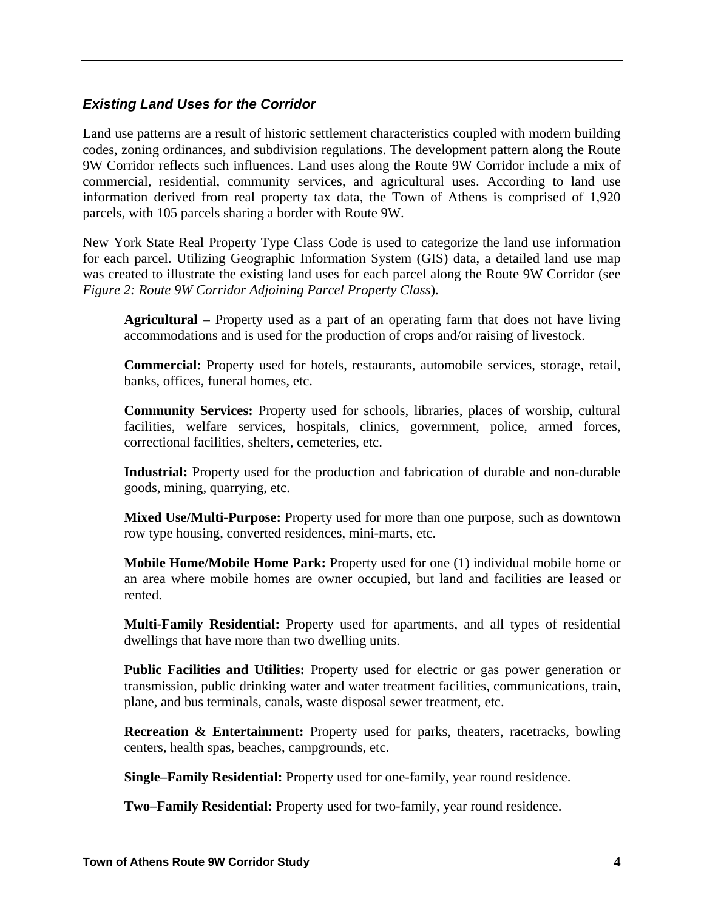### *Existing Land Uses for the Corridor*

Land use patterns are a result of historic settlement characteristics coupled with modern building codes, zoning ordinances, and subdivision regulations. The development pattern along the Route 9W Corridor reflects such influences. Land uses along the Route 9W Corridor include a mix of commercial, residential, community services, and agricultural uses. According to land use information derived from real property tax data, the Town of Athens is comprised of 1,920 parcels, with 105 parcels sharing a border with Route 9W.

New York State Real Property Type Class Code is used to categorize the land use information for each parcel. Utilizing Geographic Information System (GIS) data, a detailed land use map was created to illustrate the existing land uses for each parcel along the Route 9W Corridor (see *Figure 2: Route 9W Corridor Adjoining Parcel Property Class*).

**Agricultural** – Property used as a part of an operating farm that does not have living accommodations and is used for the production of crops and/or raising of livestock.

**Commercial:** Property used for hotels, restaurants, automobile services, storage, retail, banks, offices, funeral homes, etc.

**Community Services:** Property used for schools, libraries, places of worship, cultural facilities, welfare services, hospitals, clinics, government, police, armed forces, correctional facilities, shelters, cemeteries, etc.

**Industrial:** Property used for the production and fabrication of durable and non-durable goods, mining, quarrying, etc.

**Mixed Use/Multi-Purpose:** Property used for more than one purpose, such as downtown row type housing, converted residences, mini-marts, etc.

**Mobile Home/Mobile Home Park:** Property used for one (1) individual mobile home or an area where mobile homes are owner occupied, but land and facilities are leased or rented.

**Multi-Family Residential:** Property used for apartments, and all types of residential dwellings that have more than two dwelling units.

**Public Facilities and Utilities:** Property used for electric or gas power generation or transmission, public drinking water and water treatment facilities, communications, train, plane, and bus terminals, canals, waste disposal sewer treatment, etc.

**Recreation & Entertainment:** Property used for parks, theaters, racetracks, bowling centers, health spas, beaches, campgrounds, etc.

**Single–Family Residential:** Property used for one-family, year round residence.

**Two–Family Residential:** Property used for two-family, year round residence.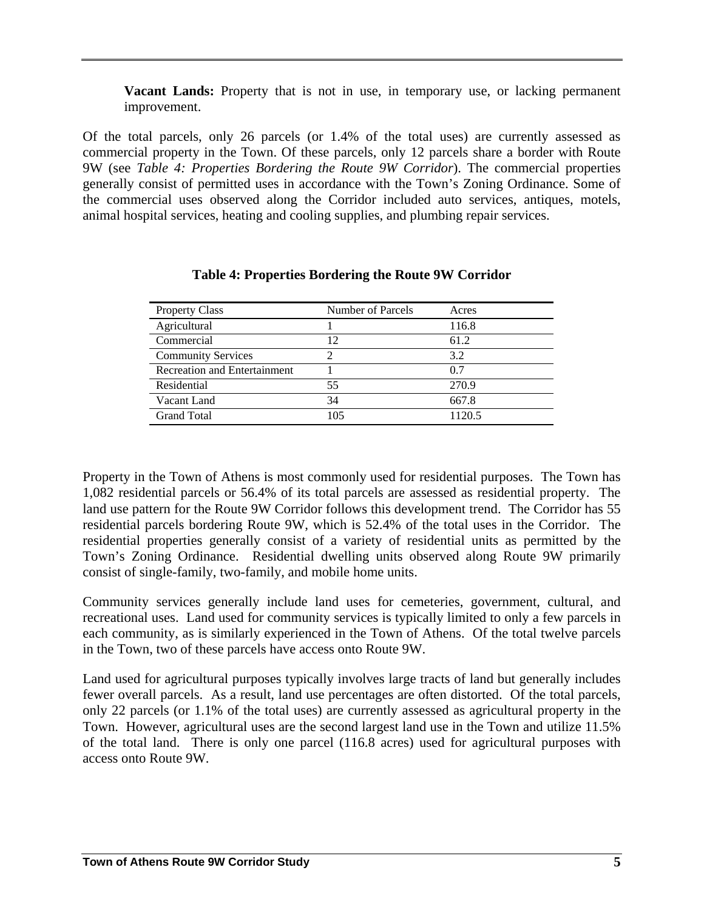**Vacant Lands:** Property that is not in use, in temporary use, or lacking permanent improvement.

Of the total parcels, only 26 parcels (or 1.4% of the total uses) are currently assessed as commercial property in the Town. Of these parcels, only 12 parcels share a border with Route 9W (see *Table 4: Properties Bordering the Route 9W Corridor*). The commercial properties generally consist of permitted uses in accordance with the Town's Zoning Ordinance. Some of the commercial uses observed along the Corridor included auto services, antiques, motels, animal hospital services, heating and cooling supplies, and plumbing repair services.

| <b>Property Class</b>        | Number of Parcels | Acres  |
|------------------------------|-------------------|--------|
| Agricultural                 |                   | 116.8  |
| Commercial                   | 12                | 61.2   |
| <b>Community Services</b>    | 2                 | 3.2    |
| Recreation and Entertainment |                   | 0.7    |
| Residential                  | 55                | 270.9  |
| Vacant Land                  | 34                | 667.8  |
| <b>Grand Total</b>           | 105               | 1120.5 |

#### **Table 4: Properties Bordering the Route 9W Corridor**

Property in the Town of Athens is most commonly used for residential purposes. The Town has 1,082 residential parcels or 56.4% of its total parcels are assessed as residential property. The land use pattern for the Route 9W Corridor follows this development trend. The Corridor has 55 residential parcels bordering Route 9W, which is 52.4% of the total uses in the Corridor. The residential properties generally consist of a variety of residential units as permitted by the Town's Zoning Ordinance. Residential dwelling units observed along Route 9W primarily consist of single-family, two-family, and mobile home units.

Community services generally include land uses for cemeteries, government, cultural, and recreational uses. Land used for community services is typically limited to only a few parcels in each community, as is similarly experienced in the Town of Athens. Of the total twelve parcels in the Town, two of these parcels have access onto Route 9W.

Land used for agricultural purposes typically involves large tracts of land but generally includes fewer overall parcels. As a result, land use percentages are often distorted. Of the total parcels, only 22 parcels (or 1.1% of the total uses) are currently assessed as agricultural property in the Town. However, agricultural uses are the second largest land use in the Town and utilize 11.5% of the total land. There is only one parcel (116.8 acres) used for agricultural purposes with access onto Route 9W.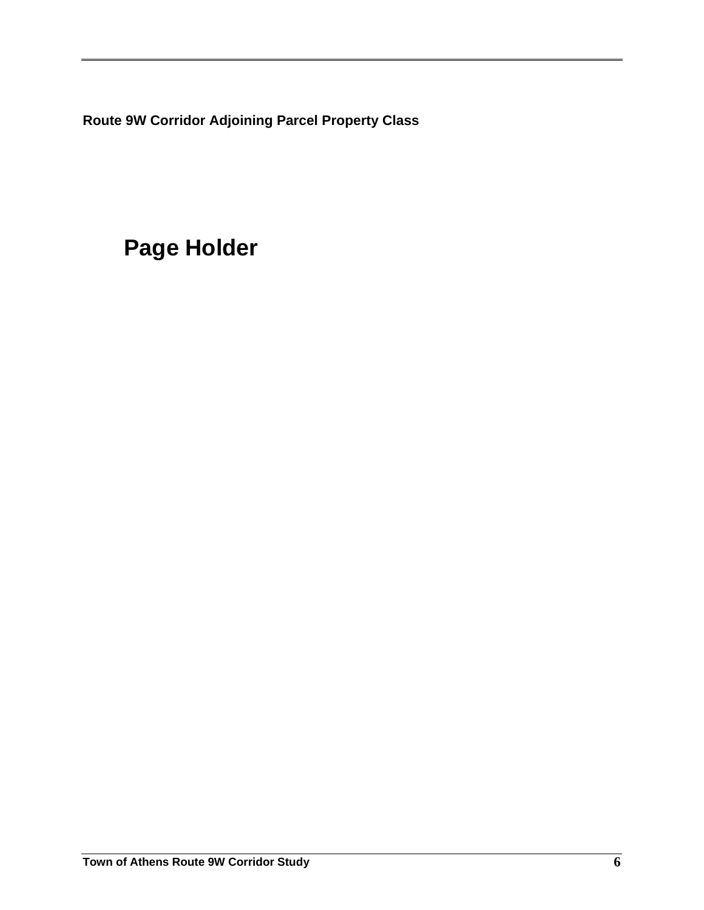**Route 9W Corridor Adjoining Parcel Property Class** 

# **Page Holder**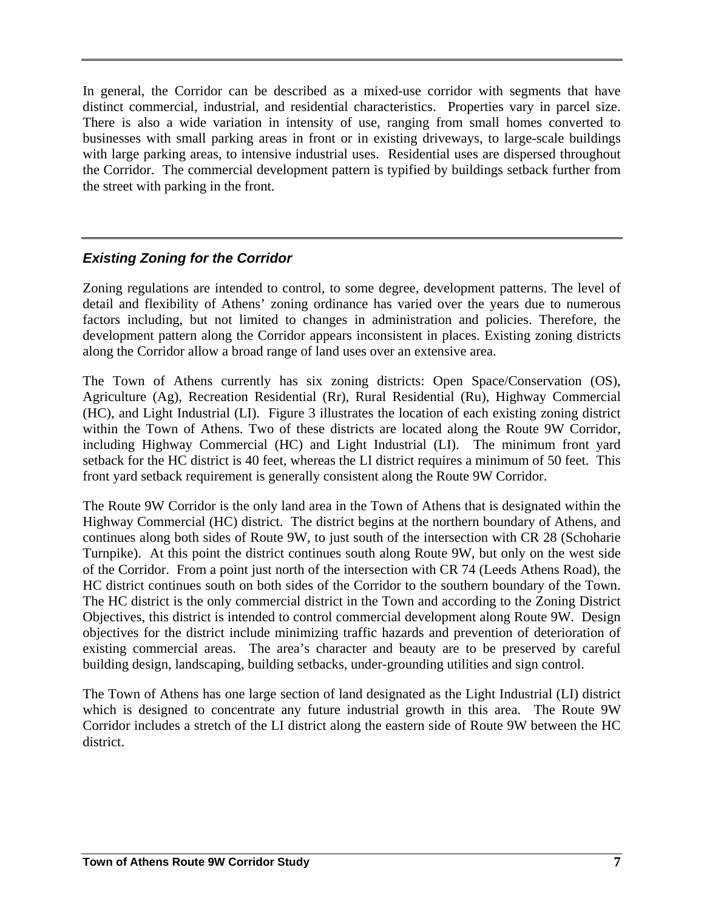In general, the Corridor can be described as a mixed-use corridor with segments that have distinct commercial, industrial, and residential characteristics. Properties vary in parcel size. There is also a wide variation in intensity of use, ranging from small homes converted to businesses with small parking areas in front or in existing driveways, to large-scale buildings with large parking areas, to intensive industrial uses. Residential uses are dispersed throughout the Corridor. The commercial development pattern is typified by buildings setback further from the street with parking in the front.

## *Existing Zoning for the Corridor*

Zoning regulations are intended to control, to some degree, development patterns. The level of detail and flexibility of Athens' zoning ordinance has varied over the years due to numerous factors including, but not limited to changes in administration and policies. Therefore, the development pattern along the Corridor appears inconsistent in places. Existing zoning districts along the Corridor allow a broad range of land uses over an extensive area.

The Town of Athens currently has six zoning districts: Open Space/Conservation (OS), Agriculture (Ag), Recreation Residential (Rr), Rural Residential (Ru), Highway Commercial (HC), and Light Industrial (LI). Figure 3 illustrates the location of each existing zoning district within the Town of Athens. Two of these districts are located along the Route 9W Corridor, including Highway Commercial (HC) and Light Industrial (LI). The minimum front yard setback for the HC district is 40 feet, whereas the LI district requires a minimum of 50 feet. This front yard setback requirement is generally consistent along the Route 9W Corridor.

The Route 9W Corridor is the only land area in the Town of Athens that is designated within the Highway Commercial (HC) district. The district begins at the northern boundary of Athens, and continues along both sides of Route 9W, to just south of the intersection with CR 28 (Schoharie Turnpike). At this point the district continues south along Route 9W, but only on the west side of the Corridor. From a point just north of the intersection with CR 74 (Leeds Athens Road), the HC district continues south on both sides of the Corridor to the southern boundary of the Town. The HC district is the only commercial district in the Town and according to the Zoning District Objectives, this district is intended to control commercial development along Route 9W. Design objectives for the district include minimizing traffic hazards and prevention of deterioration of existing commercial areas. The area's character and beauty are to be preserved by careful building design, landscaping, building setbacks, under-grounding utilities and sign control.

The Town of Athens has one large section of land designated as the Light Industrial (LI) district which is designed to concentrate any future industrial growth in this area. The Route 9W Corridor includes a stretch of the LI district along the eastern side of Route 9W between the HC district.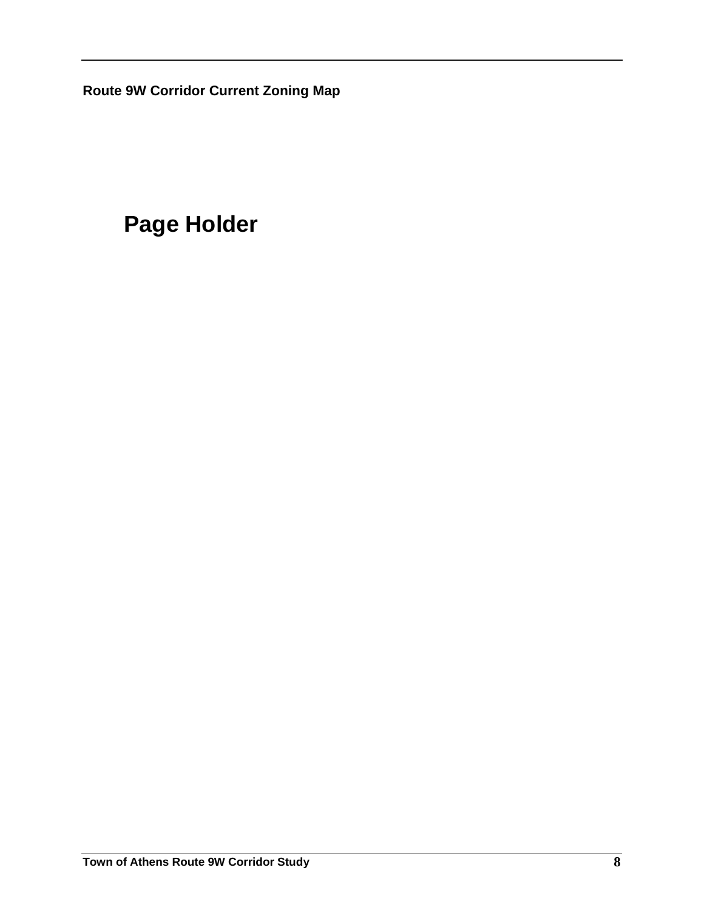**Route 9W Corridor Current Zoning Map** 

# **Page Holder**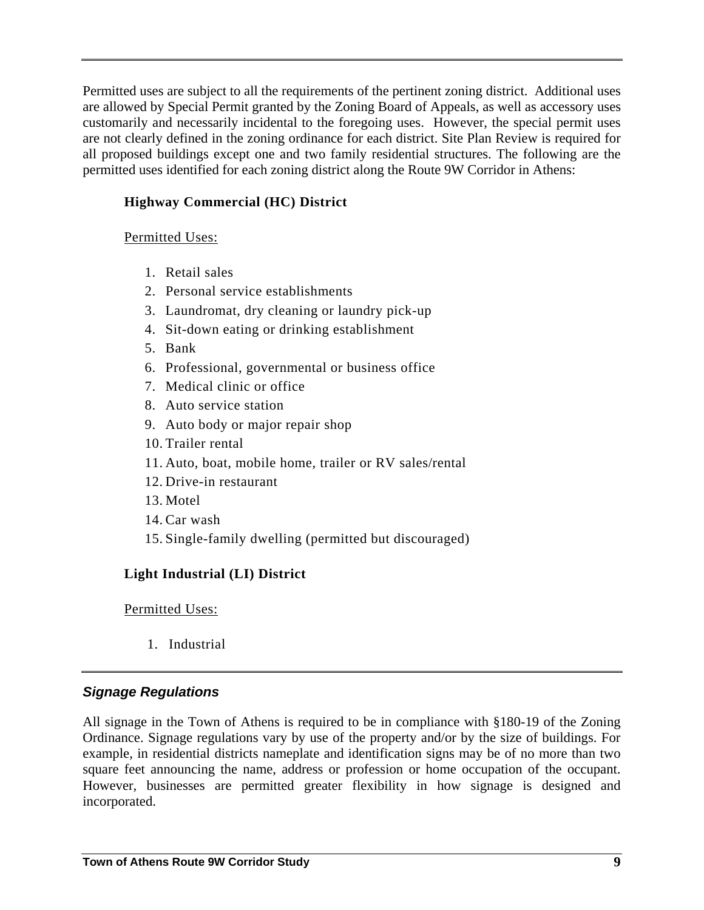Permitted uses are subject to all the requirements of the pertinent zoning district. Additional uses are allowed by Special Permit granted by the Zoning Board of Appeals, as well as accessory uses customarily and necessarily incidental to the foregoing uses. However, the special permit uses are not clearly defined in the zoning ordinance for each district. Site Plan Review is required for all proposed buildings except one and two family residential structures. The following are the permitted uses identified for each zoning district along the Route 9W Corridor in Athens:

## **Highway Commercial (HC) District**

#### Permitted Uses:

- 1. Retail sales
- 2. Personal service establishments
- 3. Laundromat, dry cleaning or laundry pick-up
- 4. Sit-down eating or drinking establishment
- 5. Bank
- 6. Professional, governmental or business office
- 7. Medical clinic or office
- 8. Auto service station
- 9. Auto body or major repair shop
- 10. Trailer rental
- 11. Auto, boat, mobile home, trailer or RV sales/rental
- 12. Drive-in restaurant
- 13. Motel
- 14. Car wash
- 15. Single-family dwelling (permitted but discouraged)

### **Light Industrial (LI) District**

#### Permitted Uses:

1. Industrial

### *Signage Regulations*

All signage in the Town of Athens is required to be in compliance with §180-19 of the Zoning Ordinance. Signage regulations vary by use of the property and/or by the size of buildings. For example, in residential districts nameplate and identification signs may be of no more than two square feet announcing the name, address or profession or home occupation of the occupant. However, businesses are permitted greater flexibility in how signage is designed and incorporated.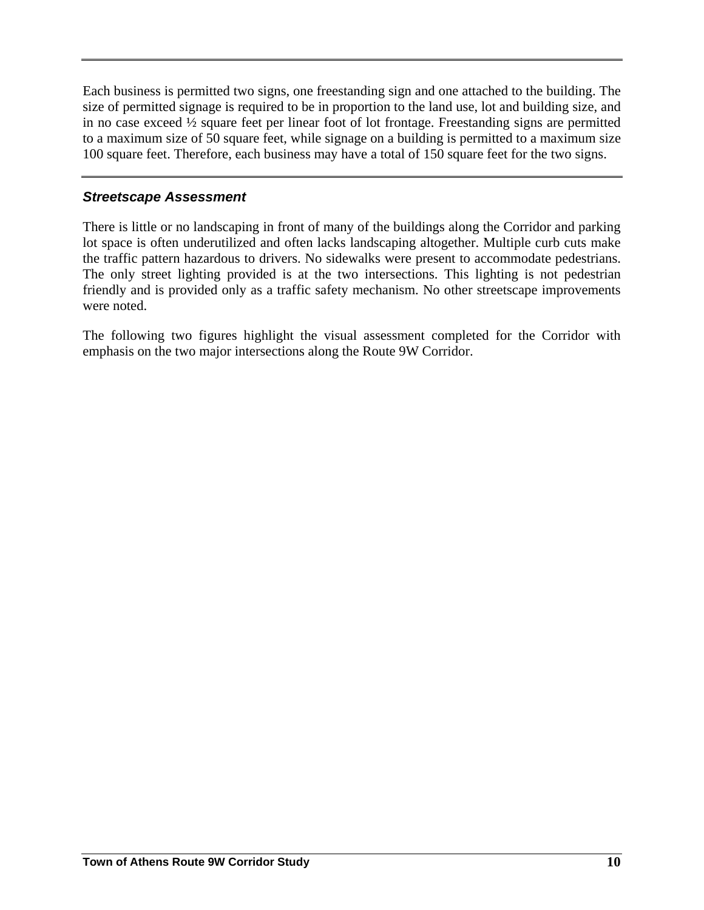Each business is permitted two signs, one freestanding sign and one attached to the building. The size of permitted signage is required to be in proportion to the land use, lot and building size, and in no case exceed ½ square feet per linear foot of lot frontage. Freestanding signs are permitted to a maximum size of 50 square feet, while signage on a building is permitted to a maximum size 100 square feet. Therefore, each business may have a total of 150 square feet for the two signs.

#### *Streetscape Assessment*

There is little or no landscaping in front of many of the buildings along the Corridor and parking lot space is often underutilized and often lacks landscaping altogether. Multiple curb cuts make the traffic pattern hazardous to drivers. No sidewalks were present to accommodate pedestrians. The only street lighting provided is at the two intersections. This lighting is not pedestrian friendly and is provided only as a traffic safety mechanism. No other streetscape improvements were noted.

The following two figures highlight the visual assessment completed for the Corridor with emphasis on the two major intersections along the Route 9W Corridor.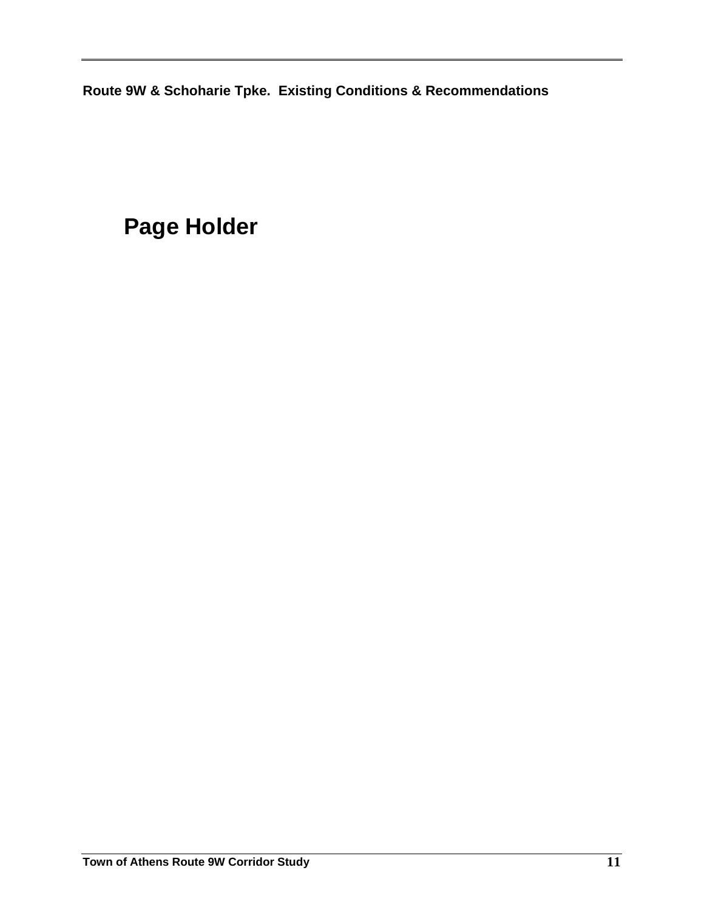**Route 9W & Schoharie Tpke. Existing Conditions & Recommendations** 

# **Page Holder**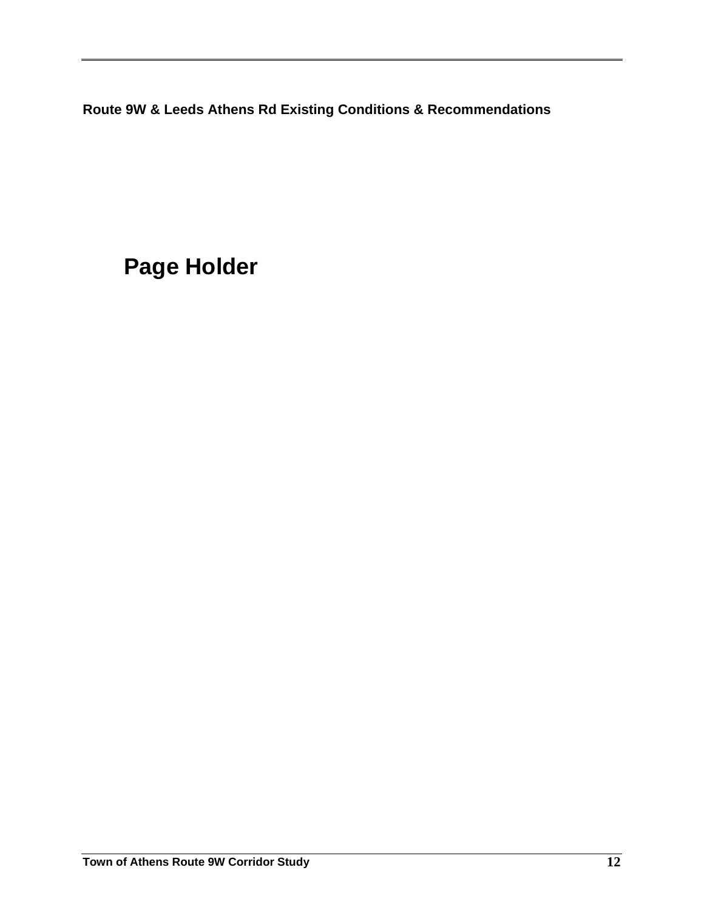**Route 9W & Leeds Athens Rd Existing Conditions & Recommendations** 

**Page Holder**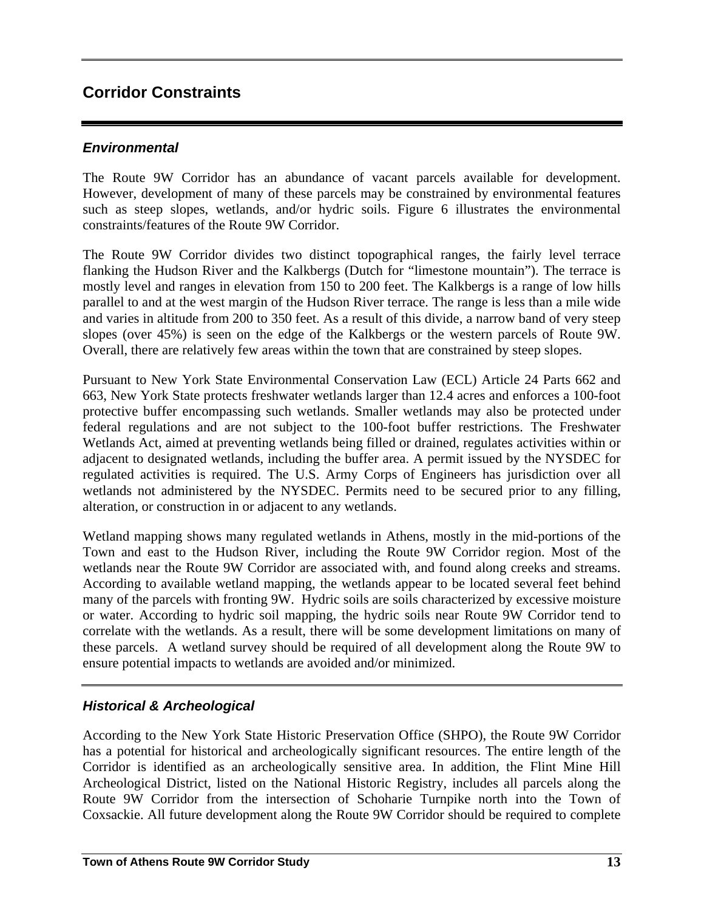## **Corridor Constraints**

#### *Environmental*

The Route 9W Corridor has an abundance of vacant parcels available for development. However, development of many of these parcels may be constrained by environmental features such as steep slopes, wetlands, and/or hydric soils. Figure 6 illustrates the environmental constraints/features of the Route 9W Corridor.

The Route 9W Corridor divides two distinct topographical ranges, the fairly level terrace flanking the Hudson River and the Kalkbergs (Dutch for "limestone mountain"). The terrace is mostly level and ranges in elevation from 150 to 200 feet. The Kalkbergs is a range of low hills parallel to and at the west margin of the Hudson River terrace. The range is less than a mile wide and varies in altitude from 200 to 350 feet. As a result of this divide, a narrow band of very steep slopes (over 45%) is seen on the edge of the Kalkbergs or the western parcels of Route 9W. Overall, there are relatively few areas within the town that are constrained by steep slopes.

Pursuant to New York State Environmental Conservation Law (ECL) Article 24 Parts 662 and 663, New York State protects freshwater wetlands larger than 12.4 acres and enforces a 100-foot protective buffer encompassing such wetlands. Smaller wetlands may also be protected under federal regulations and are not subject to the 100-foot buffer restrictions. The Freshwater Wetlands Act, aimed at preventing wetlands being filled or drained, regulates activities within or adjacent to designated wetlands, including the buffer area. A permit issued by the NYSDEC for regulated activities is required. The U.S. Army Corps of Engineers has jurisdiction over all wetlands not administered by the NYSDEC. Permits need to be secured prior to any filling, alteration, or construction in or adjacent to any wetlands.

Wetland mapping shows many regulated wetlands in Athens, mostly in the mid-portions of the Town and east to the Hudson River, including the Route 9W Corridor region. Most of the wetlands near the Route 9W Corridor are associated with, and found along creeks and streams. According to available wetland mapping, the wetlands appear to be located several feet behind many of the parcels with fronting 9W. Hydric soils are soils characterized by excessive moisture or water. According to hydric soil mapping, the hydric soils near Route 9W Corridor tend to correlate with the wetlands. As a result, there will be some development limitations on many of these parcels. A wetland survey should be required of all development along the Route 9W to ensure potential impacts to wetlands are avoided and/or minimized.

### *Historical & Archeological*

According to the New York State Historic Preservation Office (SHPO), the Route 9W Corridor has a potential for historical and archeologically significant resources. The entire length of the Corridor is identified as an archeologically sensitive area. In addition, the Flint Mine Hill Archeological District, listed on the National Historic Registry, includes all parcels along the Route 9W Corridor from the intersection of Schoharie Turnpike north into the Town of Coxsackie. All future development along the Route 9W Corridor should be required to complete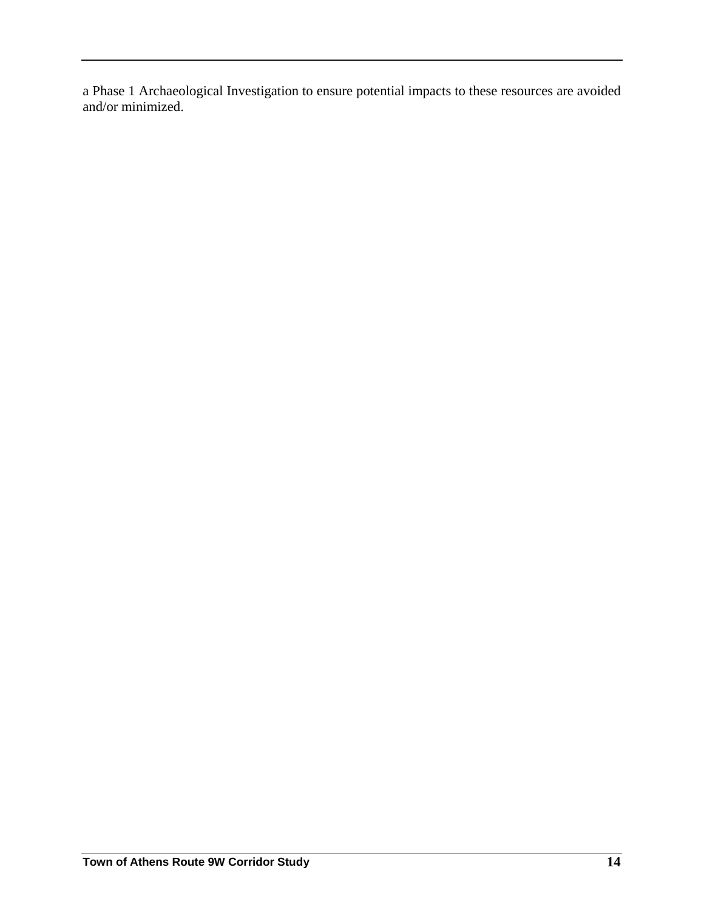a Phase 1 Archaeological Investigation to ensure potential impacts to these resources are avoided and/or minimized.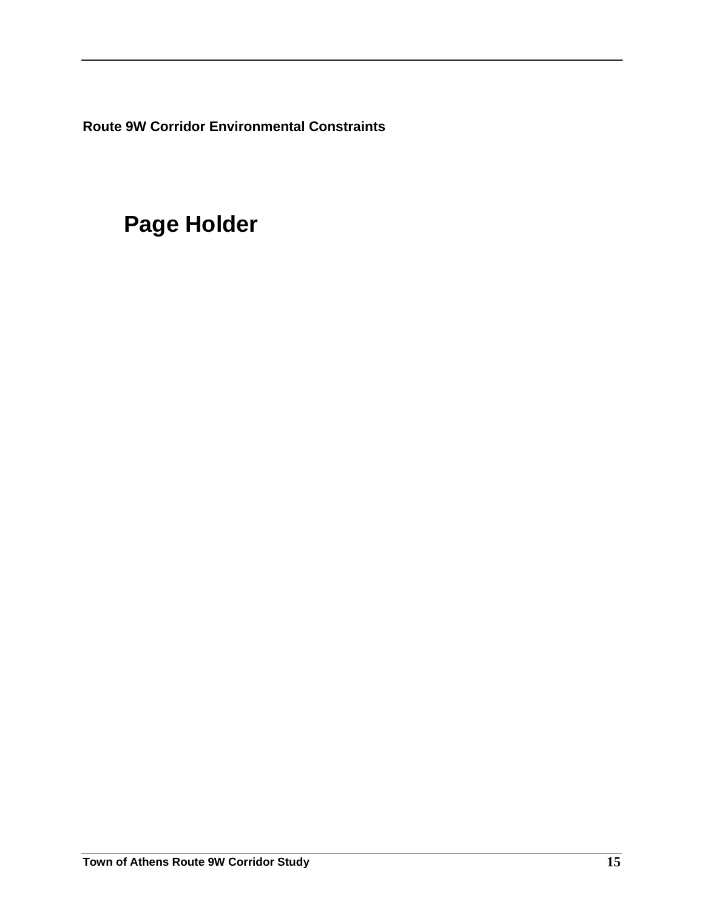**Route 9W Corridor Environmental Constraints** 

# **Page Holder**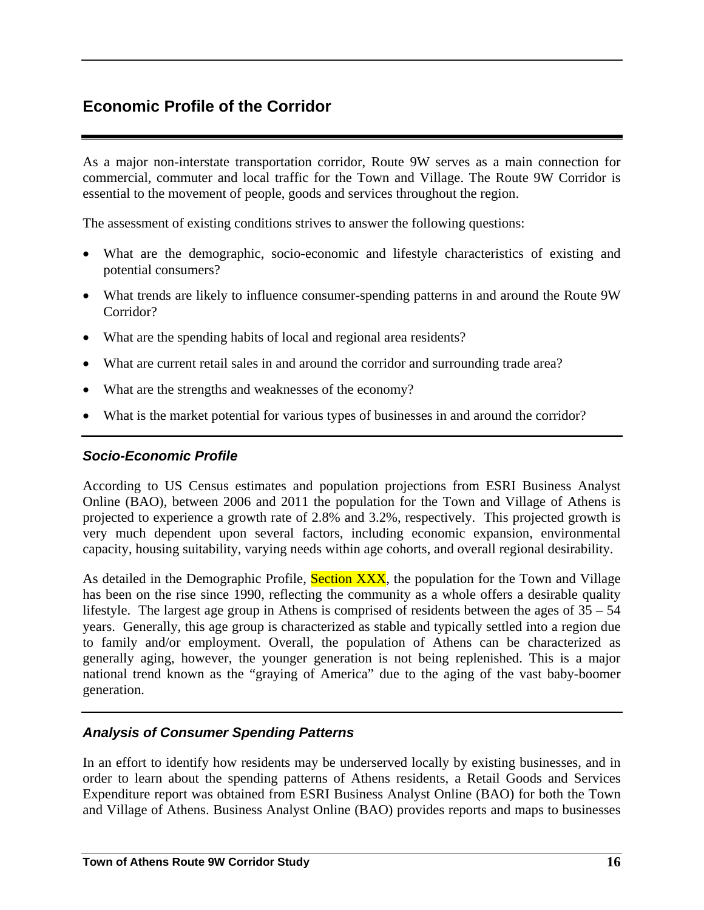# **Economic Profile of the Corridor**

As a major non-interstate transportation corridor, Route 9W serves as a main connection for commercial, commuter and local traffic for the Town and Village. The Route 9W Corridor is essential to the movement of people, goods and services throughout the region.

The assessment of existing conditions strives to answer the following questions:

- What are the demographic, socio-economic and lifestyle characteristics of existing and potential consumers?
- What trends are likely to influence consumer-spending patterns in and around the Route 9W Corridor?
- What are the spending habits of local and regional area residents?
- What are current retail sales in and around the corridor and surrounding trade area?
- What are the strengths and weaknesses of the economy?
- What is the market potential for various types of businesses in and around the corridor?

#### *Socio-Economic Profile*

According to US Census estimates and population projections from ESRI Business Analyst Online (BAO), between 2006 and 2011 the population for the Town and Village of Athens is projected to experience a growth rate of 2.8% and 3.2%, respectively. This projected growth is very much dependent upon several factors, including economic expansion, environmental capacity, housing suitability, varying needs within age cohorts, and overall regional desirability.

As detailed in the Demographic Profile, Section XXX, the population for the Town and Village has been on the rise since 1990, reflecting the community as a whole offers a desirable quality lifestyle. The largest age group in Athens is comprised of residents between the ages of 35 – 54 years. Generally, this age group is characterized as stable and typically settled into a region due to family and/or employment. Overall, the population of Athens can be characterized as generally aging, however, the younger generation is not being replenished. This is a major national trend known as the "graying of America" due to the aging of the vast baby-boomer generation.

#### *Analysis of Consumer Spending Patterns*

In an effort to identify how residents may be underserved locally by existing businesses, and in order to learn about the spending patterns of Athens residents, a Retail Goods and Services Expenditure report was obtained from ESRI Business Analyst Online (BAO) for both the Town and Village of Athens. Business Analyst Online (BAO) provides reports and maps to businesses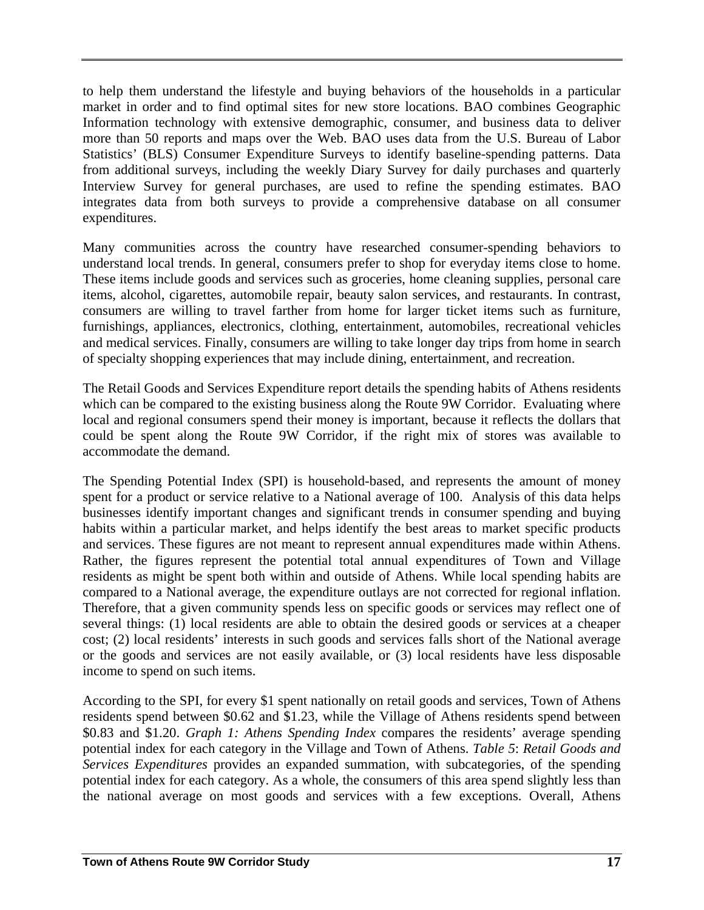to help them understand the lifestyle and buying behaviors of the households in a particular market in order and to find optimal sites for new store locations. BAO combines Geographic Information technology with extensive demographic, consumer, and business data to deliver more than 50 reports and maps over the Web. BAO uses data from the U.S. Bureau of Labor Statistics' (BLS) Consumer Expenditure Surveys to identify baseline-spending patterns. Data from additional surveys, including the weekly Diary Survey for daily purchases and quarterly Interview Survey for general purchases, are used to refine the spending estimates. BAO integrates data from both surveys to provide a comprehensive database on all consumer expenditures.

Many communities across the country have researched consumer-spending behaviors to understand local trends. In general, consumers prefer to shop for everyday items close to home. These items include goods and services such as groceries, home cleaning supplies, personal care items, alcohol, cigarettes, automobile repair, beauty salon services, and restaurants. In contrast, consumers are willing to travel farther from home for larger ticket items such as furniture, furnishings, appliances, electronics, clothing, entertainment, automobiles, recreational vehicles and medical services. Finally, consumers are willing to take longer day trips from home in search of specialty shopping experiences that may include dining, entertainment, and recreation.

The Retail Goods and Services Expenditure report details the spending habits of Athens residents which can be compared to the existing business along the Route 9W Corridor. Evaluating where local and regional consumers spend their money is important, because it reflects the dollars that could be spent along the Route 9W Corridor, if the right mix of stores was available to accommodate the demand.

The Spending Potential Index (SPI) is household-based, and represents the amount of money spent for a product or service relative to a National average of 100. Analysis of this data helps businesses identify important changes and significant trends in consumer spending and buying habits within a particular market, and helps identify the best areas to market specific products and services. These figures are not meant to represent annual expenditures made within Athens. Rather, the figures represent the potential total annual expenditures of Town and Village residents as might be spent both within and outside of Athens. While local spending habits are compared to a National average, the expenditure outlays are not corrected for regional inflation. Therefore, that a given community spends less on specific goods or services may reflect one of several things: (1) local residents are able to obtain the desired goods or services at a cheaper cost; (2) local residents' interests in such goods and services falls short of the National average or the goods and services are not easily available, or (3) local residents have less disposable income to spend on such items.

According to the SPI, for every \$1 spent nationally on retail goods and services, Town of Athens residents spend between \$0.62 and \$1.23, while the Village of Athens residents spend between \$0.83 and \$1.20. *Graph 1: Athens Spending Index* compares the residents' average spending potential index for each category in the Village and Town of Athens. *Table 5*: *Retail Goods and Services Expenditures* provides an expanded summation, with subcategories, of the spending potential index for each category. As a whole, the consumers of this area spend slightly less than the national average on most goods and services with a few exceptions. Overall, Athens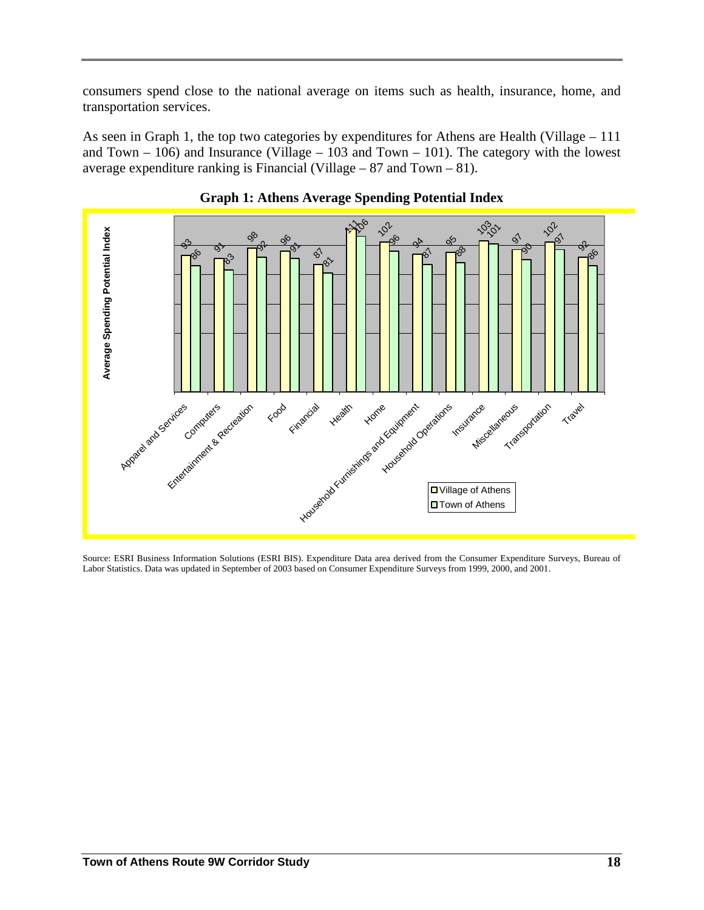consumers spend close to the national average on items such as health, insurance, home, and transportation services.

As seen in Graph 1, the top two categories by expenditures for Athens are Health (Village – 111 and Town  $-106$ ) and Insurance (Village  $-103$  and Town  $-101$ ). The category with the lowest average expenditure ranking is Financial (Village – 87 and Town – 81).





Source: ESRI Business Information Solutions (ESRI BIS). Expenditure Data area derived from the Consumer Expenditure Surveys, Bureau of Labor Statistics. Data was updated in September of 2003 based on Consumer Expenditure Surveys from 1999, 2000, and 2001.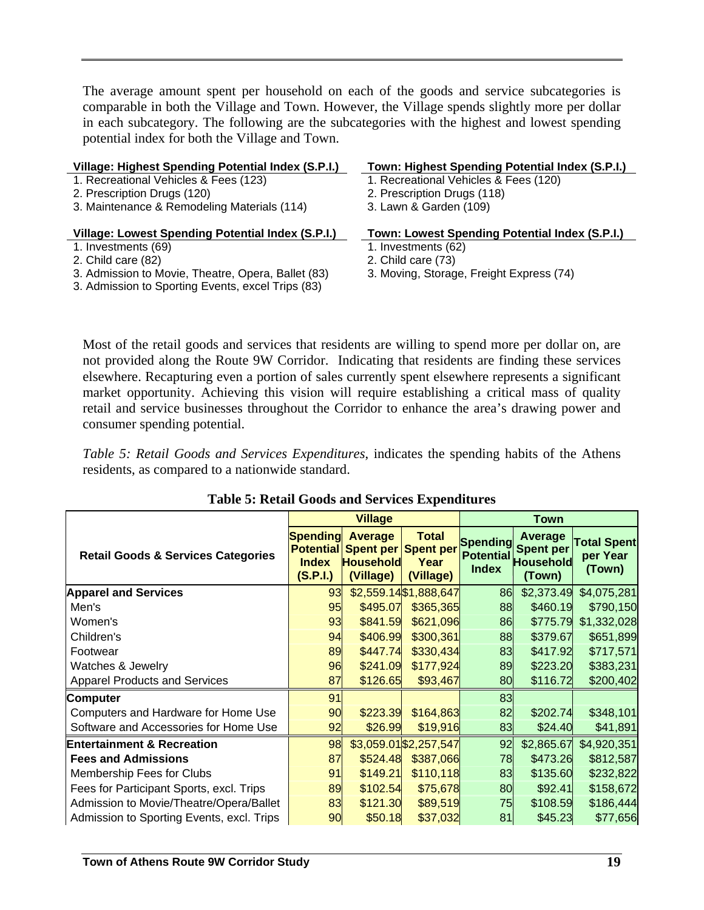The average amount spent per household on each of the goods and service subcategories is comparable in both the Village and Town. However, the Village spends slightly more per dollar in each subcategory. The following are the subcategories with the highest and lowest spending potential index for both the Village and Town.

| Village: Highest Spending Potential Index (S.P.I.) | Town: Highest Spending Potential Index (S.P.I.) |
|----------------------------------------------------|-------------------------------------------------|
| 1. Recreational Vehicles & Fees (123)              | 1. Recreational Vehicles & Fees (120)           |
| 2. Prescription Drugs (120)                        | 2. Prescription Drugs (118)                     |
| 3. Maintenance & Remodeling Materials (114)        | 3. Lawn & Garden (109)                          |
|                                                    |                                                 |
| Village: Lowest Spending Potential Index (S.P.I.)  | Town: Lowest Spending Potential Index (S.P.I.)  |
| 1. Investments (69)                                | 1. Investments (62)                             |
| 2. Child care (82)                                 | 2. Child care (73)                              |

Most of the retail goods and services that residents are willing to spend more per dollar on, are not provided along the Route 9W Corridor. Indicating that residents are finding these services elsewhere. Recapturing even a portion of sales currently spent elsewhere represents a significant market opportunity. Achieving this vision will require establishing a critical mass of quality retail and service businesses throughout the Corridor to enhance the area's drawing power and consumer spending potential.

*Table 5: Retail Goods and Services Expenditures*, indicates the spending habits of the Athens residents, as compared to a nationwide standard.

|                                               |                                                                 | <b>Village</b><br>Town                                                        |                                   |                                                     |                                                                  |                                          |  |
|-----------------------------------------------|-----------------------------------------------------------------|-------------------------------------------------------------------------------|-----------------------------------|-----------------------------------------------------|------------------------------------------------------------------|------------------------------------------|--|
| <b>Retail Goods &amp; Services Categories</b> | <b>Spending</b><br><b>Potential</b><br><b>Index</b><br>(S.P.I.) | <b>Average</b><br><b>Spent per Spent per</b><br><b>Household</b><br>(Village) | <b>Total</b><br>Year<br>(Village) | <b>Spending</b><br><b>Potential</b><br><b>Index</b> | <b>Average</b><br><b>Spent per</b><br><b>Household</b><br>(Town) | <b>Total Spent</b><br>per Year<br>(Town) |  |
| <b>Apparel and Services</b>                   | 93                                                              |                                                                               | \$2,559.14 \$1,888,647            | 86                                                  | \$2,373.49                                                       | \$4,075,281                              |  |
| Men's                                         | 95                                                              | \$495.07                                                                      | \$365,365                         | 88                                                  | \$460.19                                                         | \$790,150                                |  |
| Women's                                       | 93                                                              | \$841.59                                                                      | \$621,096                         | 86                                                  | \$775.79                                                         | \$1,332,028                              |  |
| Children's                                    | 94                                                              | \$406.99                                                                      | \$300,361                         | 88                                                  | \$379.67                                                         | \$651,899                                |  |
| Footwear                                      | 89                                                              | \$447.74                                                                      | \$330,434                         | 83                                                  | \$417.92                                                         | \$717,571                                |  |
| Watches & Jewelry                             | 96                                                              | \$241.09                                                                      | \$177,924                         | 89                                                  | \$223.20                                                         | \$383,231                                |  |
| <b>Apparel Products and Services</b>          | 87                                                              | \$126.65                                                                      | \$93,467                          | 80                                                  | \$116.72                                                         | \$200,402                                |  |
| <b>Computer</b>                               | 91                                                              |                                                                               |                                   | 83                                                  |                                                                  |                                          |  |
| Computers and Hardware for Home Use           | 90                                                              | \$223.39                                                                      | \$164,863                         | 82                                                  | \$202.74                                                         | \$348,101                                |  |
| Software and Accessories for Home Use         | 92                                                              | \$26.99                                                                       | \$19,916                          | 83                                                  | \$24.40                                                          | \$41,891                                 |  |
| <b>Entertainment &amp; Recreation</b>         | 98                                                              |                                                                               | \$3,059.01 \$2,257,547            | 92                                                  | \$2,865.67                                                       | \$4,920,351                              |  |
| <b>Fees and Admissions</b>                    | 87                                                              | \$524.48                                                                      | \$387,066                         | 78                                                  | \$473.26                                                         | \$812,587                                |  |
| Membership Fees for Clubs                     | 91                                                              | \$149.21                                                                      | \$110,118                         | 83                                                  | \$135.60                                                         | \$232,822                                |  |
| Fees for Participant Sports, excl. Trips      | 89                                                              | \$102.54                                                                      | \$75,678                          | 80                                                  | \$92.41                                                          | \$158,672                                |  |
| Admission to Movie/Theatre/Opera/Ballet       | 83                                                              | \$121.30                                                                      | \$89,519                          | 75                                                  | \$108.59                                                         | \$186,444                                |  |
| Admission to Sporting Events, excl. Trips     | 90                                                              | \$50.18                                                                       | \$37,032                          | 81                                                  | \$45.23                                                          | \$77,656                                 |  |

#### **Table 5: Retail Goods and Services Expenditures**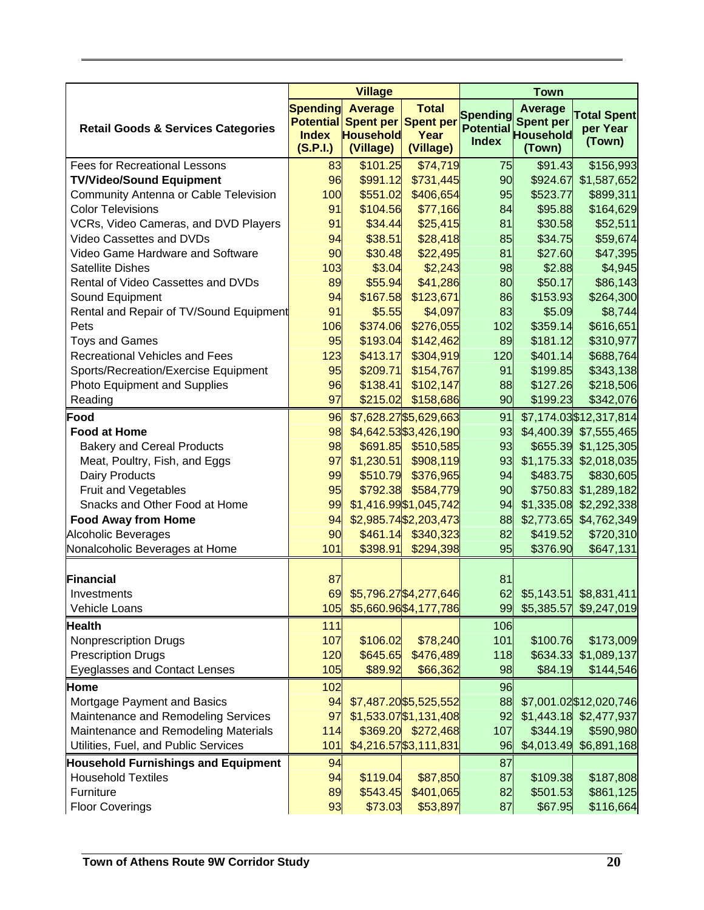|                                               |                          | <b>Village</b>                |                                                 |                  | <b>Town</b>                |                          |
|-----------------------------------------------|--------------------------|-------------------------------|-------------------------------------------------|------------------|----------------------------|--------------------------|
|                                               | <b>Spending</b>          | <b>Average</b>                | <b>Total</b>                                    | <b>Spending</b>  | <b>Average</b>             | <b>Total Spent</b>       |
| <b>Retail Goods &amp; Services Categories</b> |                          | Potential Spent per Spent per |                                                 | <b>Potential</b> | <b>Spent per</b>           | per Year                 |
|                                               | <b>Index</b><br>(S.P.I.) | <b>Household</b><br>(Village) | Year<br>(Village)                               | <b>Index</b>     | <b>Household</b><br>(Town) | (Town)                   |
| <b>Fees for Recreational Lessons</b>          | 83                       | \$101.25                      | \$74,719                                        | 75               | \$91.43                    | \$156,993                |
| <b>TV/Video/Sound Equipment</b>               | 96                       | \$991.12                      | \$731,445                                       | 90               | \$924.67                   | \$1,587,652              |
| Community Antenna or Cable Television         | 100                      | \$551.02                      | \$406,654                                       | 95               | \$523.77                   | \$899,311                |
| <b>Color Televisions</b>                      | 91                       | \$104.56                      | \$77,166                                        | 84               | \$95.88                    | \$164,629                |
| VCRs, Video Cameras, and DVD Players          | 91                       | \$34.44                       | \$25,415                                        | 81               | \$30.58                    | \$52,511                 |
| Video Cassettes and DVDs                      | 94                       | \$38.51                       | \$28,418                                        | 85               | \$34.75                    | \$59,674                 |
| Video Game Hardware and Software              | 90                       | \$30.48                       | \$22,495                                        | 81               | \$27.60                    | \$47,395                 |
| <b>Satellite Dishes</b>                       | 103                      | \$3.04                        | \$2,243                                         | 98               | \$2.88                     | \$4,945                  |
| Rental of Video Cassettes and DVDs            |                          | \$55.94                       | \$41,286                                        |                  | \$50.17                    |                          |
|                                               | 89<br>94                 | \$167.58                      |                                                 | 80               | \$153.93                   | \$86,143                 |
| Sound Equipment                               | 91                       | \$5.55                        | \$123,671                                       | 86               |                            | \$264,300                |
| Rental and Repair of TV/Sound Equipment       |                          | \$374.06                      | \$4,097                                         | 83               | \$5.09                     | \$8,744                  |
| Pets                                          | 106                      |                               | \$276,055                                       | 102              | \$359.14                   | \$616,651                |
| <b>Toys and Games</b>                         | 95<br>123                | \$193.04                      | \$142,462                                       | 89               | \$181.12                   | \$310,977                |
| <b>Recreational Vehicles and Fees</b>         |                          | \$413.17                      | \$304,919                                       | 120              | \$401.14                   | \$688,764                |
| Sports/Recreation/Exercise Equipment          | 95                       | \$209.71                      | \$154,767                                       | 91               | \$199.85                   | \$343,138                |
| Photo Equipment and Supplies                  | 96                       | \$138.41                      | \$102,147                                       | 88               | \$127.26                   | \$218,506                |
| Reading                                       | 97                       | \$215.02                      | \$158,686                                       | 90               | \$199.23                   | \$342,076                |
| Food                                          | 96                       |                               | \$7,628.27 \$5,629,663                          | 91               |                            | \$7,174.03 \$12,317,814  |
| <b>Food at Home</b>                           | 98                       |                               | \$4,642.53 \$3,426,190                          | 93               |                            | \$4,400.39 \$7,555,465   |
| <b>Bakery and Cereal Products</b>             | 98                       |                               | \$691.85 \$510,585                              | 93               |                            | \$655.39 \$1,125,305     |
| Meat, Poultry, Fish, and Eggs                 | 97                       | \$1,230.51                    | \$908,119                                       | 93               |                            | \$1,175.33 \$2,018,035   |
| Dairy Products                                | 99                       | \$510.79                      | \$376,965                                       | 94               | \$483.75                   | \$830,605                |
| Fruit and Vegetables                          | 95                       | \$792.38                      | \$584,779                                       | 90               | \$750.83                   | \$1,289,182              |
| Snacks and Other Food at Home                 | 99                       |                               | \$1,416.99 \$1,045,742                          | 94               | \$1,335.08                 | \$2,292,338              |
| <b>Food Away from Home</b>                    | 94                       |                               | \$2,985.74 \$2,203,473                          | 88               | \$2,773.65                 | \$4,762,349              |
| <b>Alcoholic Beverages</b>                    | 90                       | \$461.14                      | \$340,323                                       | 82               | \$419.52                   | \$720,310                |
| Nonalcoholic Beverages at Home                | 101                      | \$398.91                      | \$294,398                                       | 95               | \$376.90                   | \$647,131                |
|                                               |                          |                               |                                                 |                  |                            |                          |
| Financial                                     | 87<br>69                 |                               |                                                 | 81<br>62         |                            |                          |
| Investments                                   |                          |                               | \$5,796.27\$4,277,646<br>\$5,660.96 \$4,177,786 |                  |                            | $$5,143.51$ $$8,831,411$ |
| Vehicle Loans                                 | 105                      |                               |                                                 | 99               | \$5,385.57                 | \$9,247,019              |
| <b>Health</b>                                 | 111                      |                               |                                                 | 106              | \$100.76                   |                          |
| <b>Nonprescription Drugs</b>                  | 107                      | \$106.02                      | \$78,240                                        | 101              |                            | \$173,009                |
| <b>Prescription Drugs</b>                     | 120                      | \$645.65                      | \$476,489                                       | 118              | \$634.33                   | \$1,089,137              |
| <b>Eyeglasses and Contact Lenses</b>          | 105                      | \$89.92                       | \$66,362                                        | 98               | \$84.19                    | \$144,546                |
| Home                                          | 102                      |                               |                                                 | 96               |                            |                          |
| Mortgage Payment and Basics                   | 94                       |                               | \$7,487.20 \$5,525,552                          | 88               |                            | \$7,001.02 \$12,020,746  |
| Maintenance and Remodeling Services           | 97                       |                               | \$1,533.07 \$1,131,408                          | 92               |                            | \$1,443.18 \$2,477,937   |
| Maintenance and Remodeling Materials          | 114                      |                               | $$369.20$ $$272,468$                            | 107              | \$344.19                   | \$590,980                |
| Utilities, Fuel, and Public Services          | 101                      |                               | \$4,216.57 \$3,111,831                          | 96               |                            | \$4,013.49 \$6,891,168   |
| <b>Household Furnishings and Equipment</b>    | 94                       |                               |                                                 | 87               |                            |                          |
| <b>Household Textiles</b>                     | 94                       | \$119.04                      | \$87,850                                        | 87               | \$109.38                   | \$187,808                |
| Furniture                                     | 89                       | \$543.45                      | \$401,065                                       | 82               | \$501.53                   | \$861,125                |
| <b>Floor Coverings</b>                        | 93                       | \$73.03                       | \$53,897                                        | 87               | \$67.95                    | \$116,664                |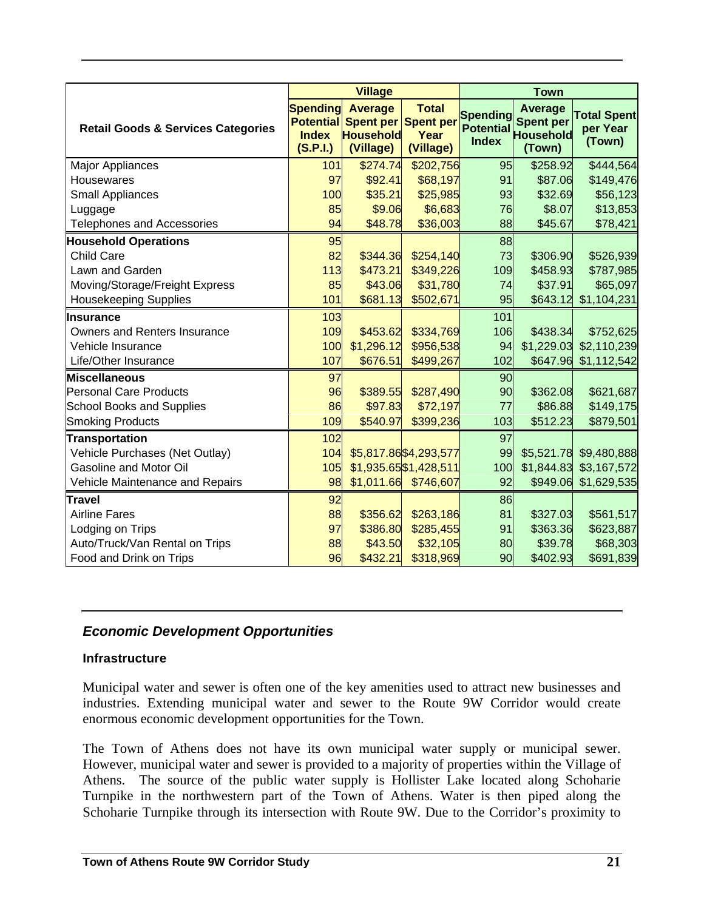|                                               | <b>Village</b>                                                  |                                                                        |                                   | <b>Town</b> |                              |                                          |
|-----------------------------------------------|-----------------------------------------------------------------|------------------------------------------------------------------------|-----------------------------------|-------------|------------------------------|------------------------------------------|
| <b>Retail Goods &amp; Services Categories</b> | <b>Spending</b><br><b>Potential</b><br><b>Index</b><br>(S.P.I.) | <b>Average</b><br>Spent per Spent per<br><b>Household</b><br>(Village) | <b>Total</b><br>Year<br>(Village) |             | Spending Spent per<br>(Town) | <b>Total Spent</b><br>per Year<br>(Town) |
| <b>Major Appliances</b>                       | 101                                                             | \$274.74                                                               | \$202,756                         | 95          | \$258.92                     | \$444,564                                |
| <b>Housewares</b>                             | 97                                                              | \$92.41                                                                | \$68,197                          | 91          | \$87.06                      | \$149,476                                |
| Small Appliances                              | 100                                                             | \$35.21                                                                | \$25,985                          | 93          | \$32.69                      | \$56,123                                 |
| Luggage                                       | 85                                                              | \$9.06                                                                 | \$6,683                           | 76          | \$8.07                       | \$13,853                                 |
| <b>Telephones and Accessories</b>             | 94                                                              | \$48.78                                                                | \$36,003                          | 88          | \$45.67                      | \$78,421                                 |
| <b>Household Operations</b>                   | 95                                                              |                                                                        |                                   | 88          |                              |                                          |
| <b>Child Care</b>                             | 82                                                              | \$344.36                                                               | \$254,140                         | 73          | \$306.90                     | \$526,939                                |
| Lawn and Garden                               | 113                                                             | \$473.21                                                               | \$349,226                         | 109         | \$458.93                     | \$787,985                                |
| Moving/Storage/Freight Express                | 85                                                              | \$43.06                                                                | \$31,780                          | 74          | \$37.91                      | \$65,097                                 |
| <b>Housekeeping Supplies</b>                  | 101                                                             | \$681.13                                                               | \$502,671                         | 95          | \$643.12                     | \$1,104,231                              |
| Insurance                                     | 103                                                             |                                                                        |                                   | 101         |                              |                                          |
| <b>Owners and Renters Insurance</b>           | 109                                                             | \$453.62                                                               | \$334,769                         | 106         | \$438.34                     | \$752,625                                |
| Vehicle Insurance                             | 100                                                             | \$1,296.12                                                             | \$956,538                         | 94          | \$1,229.03                   | \$2,110,239                              |
| Life/Other Insurance                          | 107                                                             | \$676.51                                                               | \$499,267                         | 102         | \$647.96                     | \$1,112,542                              |
| <b>Miscellaneous</b>                          | 97                                                              |                                                                        |                                   | 90          |                              |                                          |
| Personal Care Products                        | 96                                                              | \$389.55                                                               | \$287,490                         | 90          | \$362.08                     | \$621,687                                |
| <b>School Books and Supplies</b>              | 86                                                              | \$97.83                                                                | \$72,197                          | 77          | \$86.88                      | \$149,175                                |
| <b>Smoking Products</b>                       | 109                                                             | \$540.97                                                               | \$399,236                         | 103         | \$512.23                     | \$879,501                                |
| <b>Transportation</b>                         | 102                                                             |                                                                        |                                   | 97          |                              |                                          |
| Vehicle Purchases (Net Outlay)                | 104                                                             |                                                                        | \$5,817.86 \$4,293,577            | 99          |                              | \$5,521.78 \$9,480,888                   |
| <b>Gasoline and Motor Oil</b>                 | 105                                                             |                                                                        | \$1,935.65 \$1,428,511            | 100         | \$1,844.83                   | \$3,167,572                              |
| Vehicle Maintenance and Repairs               | 98                                                              |                                                                        | $$1,011.66$ $$746,607$            | 92          | \$949.06                     | \$1,629,535                              |
| Travel                                        | 92                                                              |                                                                        |                                   | 86          |                              |                                          |
| <b>Airline Fares</b>                          | 88                                                              | \$356.62                                                               | \$263,186                         | 81          | \$327.03                     | \$561,517                                |
| Lodging on Trips                              | 97                                                              | \$386.80                                                               | \$285,455                         | 91          | \$363.36                     | \$623,887                                |
| Auto/Truck/Van Rental on Trips                | 88                                                              | \$43.50                                                                | \$32,105                          | 80          | \$39.78                      | \$68,303                                 |
| Food and Drink on Trips                       | 96                                                              | \$432.21                                                               | \$318,969                         | 90          | \$402.93                     | \$691,839                                |

### *Economic Development Opportunities*

#### **Infrastructure**

Municipal water and sewer is often one of the key amenities used to attract new businesses and industries. Extending municipal water and sewer to the Route 9W Corridor would create enormous economic development opportunities for the Town.

The Town of Athens does not have its own municipal water supply or municipal sewer. However, municipal water and sewer is provided to a majority of properties within the Village of Athens. The source of the public water supply is Hollister Lake located along Schoharie Turnpike in the northwestern part of the Town of Athens. Water is then piped along the Schoharie Turnpike through its intersection with Route 9W. Due to the Corridor's proximity to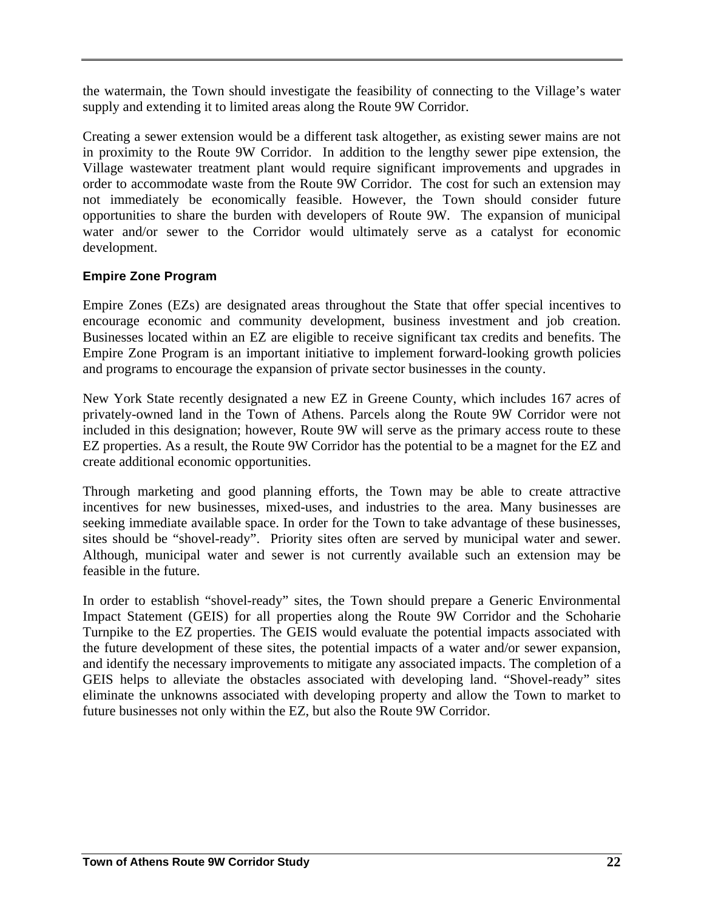the watermain, the Town should investigate the feasibility of connecting to the Village's water supply and extending it to limited areas along the Route 9W Corridor.

Creating a sewer extension would be a different task altogether, as existing sewer mains are not in proximity to the Route 9W Corridor. In addition to the lengthy sewer pipe extension, the Village wastewater treatment plant would require significant improvements and upgrades in order to accommodate waste from the Route 9W Corridor. The cost for such an extension may not immediately be economically feasible. However, the Town should consider future opportunities to share the burden with developers of Route 9W. The expansion of municipal water and/or sewer to the Corridor would ultimately serve as a catalyst for economic development.

#### **Empire Zone Program**

Empire Zones (EZs) are designated areas throughout the State that offer special incentives to encourage economic and community development, business investment and job creation. Businesses located within an EZ are eligible to receive significant tax credits and benefits. The Empire Zone Program is an important initiative to implement forward-looking growth policies and programs to encourage the expansion of private sector businesses in the county.

New York State recently designated a new EZ in Greene County, which includes 167 acres of privately-owned land in the Town of Athens. Parcels along the Route 9W Corridor were not included in this designation; however, Route 9W will serve as the primary access route to these EZ properties. As a result, the Route 9W Corridor has the potential to be a magnet for the EZ and create additional economic opportunities.

Through marketing and good planning efforts, the Town may be able to create attractive incentives for new businesses, mixed-uses, and industries to the area. Many businesses are seeking immediate available space. In order for the Town to take advantage of these businesses, sites should be "shovel-ready". Priority sites often are served by municipal water and sewer. Although, municipal water and sewer is not currently available such an extension may be feasible in the future.

In order to establish "shovel-ready" sites, the Town should prepare a Generic Environmental Impact Statement (GEIS) for all properties along the Route 9W Corridor and the Schoharie Turnpike to the EZ properties. The GEIS would evaluate the potential impacts associated with the future development of these sites, the potential impacts of a water and/or sewer expansion, and identify the necessary improvements to mitigate any associated impacts. The completion of a GEIS helps to alleviate the obstacles associated with developing land. "Shovel-ready" sites eliminate the unknowns associated with developing property and allow the Town to market to future businesses not only within the EZ, but also the Route 9W Corridor.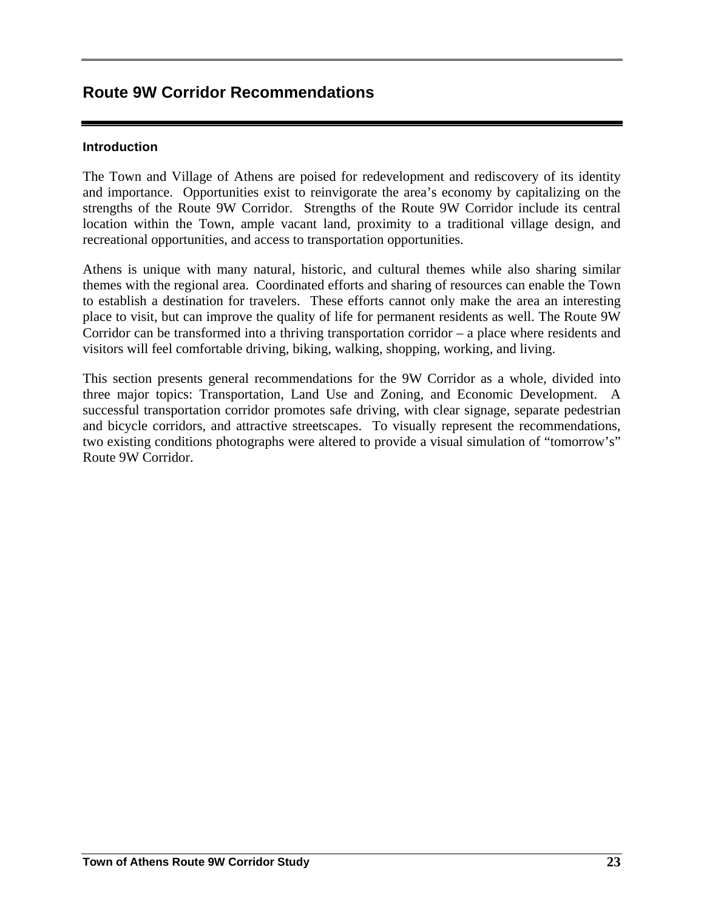# **Route 9W Corridor Recommendations**

#### **Introduction**

The Town and Village of Athens are poised for redevelopment and rediscovery of its identity and importance. Opportunities exist to reinvigorate the area's economy by capitalizing on the strengths of the Route 9W Corridor. Strengths of the Route 9W Corridor include its central location within the Town, ample vacant land, proximity to a traditional village design, and recreational opportunities, and access to transportation opportunities.

Athens is unique with many natural, historic, and cultural themes while also sharing similar themes with the regional area. Coordinated efforts and sharing of resources can enable the Town to establish a destination for travelers. These efforts cannot only make the area an interesting place to visit, but can improve the quality of life for permanent residents as well. The Route 9W Corridor can be transformed into a thriving transportation corridor – a place where residents and visitors will feel comfortable driving, biking, walking, shopping, working, and living.

This section presents general recommendations for the 9W Corridor as a whole, divided into three major topics: Transportation, Land Use and Zoning, and Economic Development. A successful transportation corridor promotes safe driving, with clear signage, separate pedestrian and bicycle corridors, and attractive streetscapes. To visually represent the recommendations, two existing conditions photographs were altered to provide a visual simulation of "tomorrow's" Route 9W Corridor.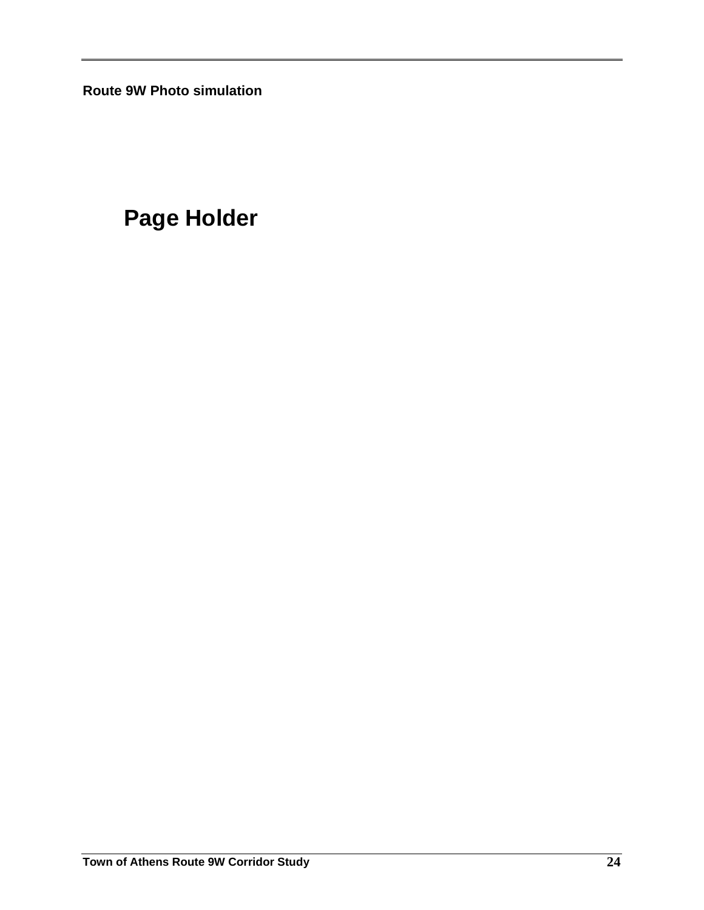**Route 9W Photo simulation** 

# **Page Holder**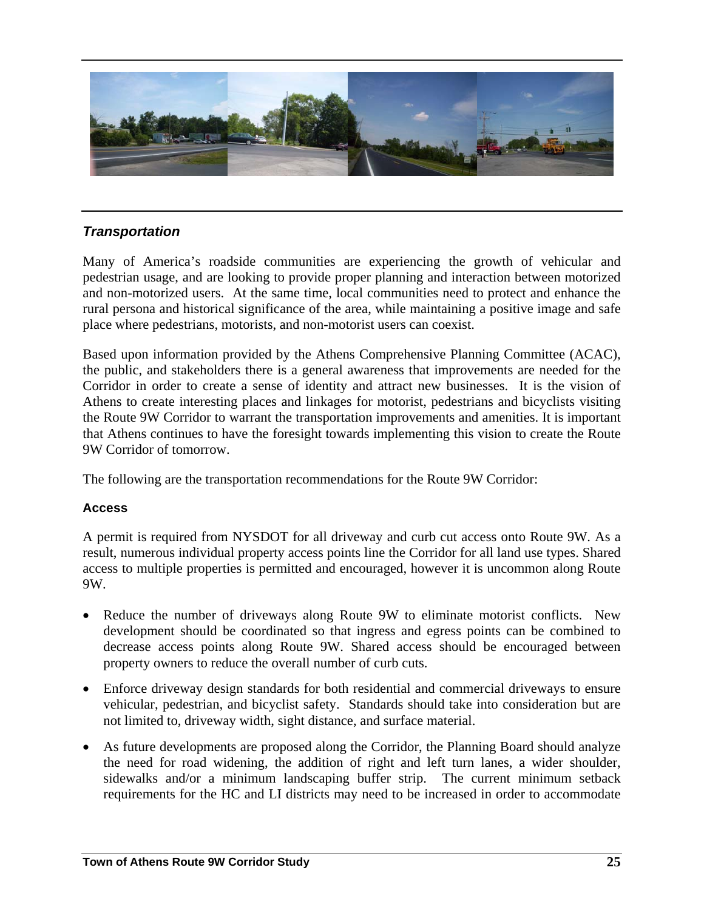

#### *Transportation*

Many of America's roadside communities are experiencing the growth of vehicular and pedestrian usage, and are looking to provide proper planning and interaction between motorized and non-motorized users. At the same time, local communities need to protect and enhance the rural persona and historical significance of the area, while maintaining a positive image and safe place where pedestrians, motorists, and non-motorist users can coexist.

Based upon information provided by the Athens Comprehensive Planning Committee (ACAC), the public, and stakeholders there is a general awareness that improvements are needed for the Corridor in order to create a sense of identity and attract new businesses. It is the vision of Athens to create interesting places and linkages for motorist, pedestrians and bicyclists visiting the Route 9W Corridor to warrant the transportation improvements and amenities. It is important that Athens continues to have the foresight towards implementing this vision to create the Route 9W Corridor of tomorrow.

The following are the transportation recommendations for the Route 9W Corridor:

#### **Access**

A permit is required from NYSDOT for all driveway and curb cut access onto Route 9W. As a result, numerous individual property access points line the Corridor for all land use types. Shared access to multiple properties is permitted and encouraged, however it is uncommon along Route 9W.

- Reduce the number of driveways along Route 9W to eliminate motorist conflicts. New development should be coordinated so that ingress and egress points can be combined to decrease access points along Route 9W. Shared access should be encouraged between property owners to reduce the overall number of curb cuts.
- Enforce driveway design standards for both residential and commercial driveways to ensure vehicular, pedestrian, and bicyclist safety. Standards should take into consideration but are not limited to, driveway width, sight distance, and surface material.
- As future developments are proposed along the Corridor, the Planning Board should analyze the need for road widening, the addition of right and left turn lanes, a wider shoulder, sidewalks and/or a minimum landscaping buffer strip. The current minimum setback requirements for the HC and LI districts may need to be increased in order to accommodate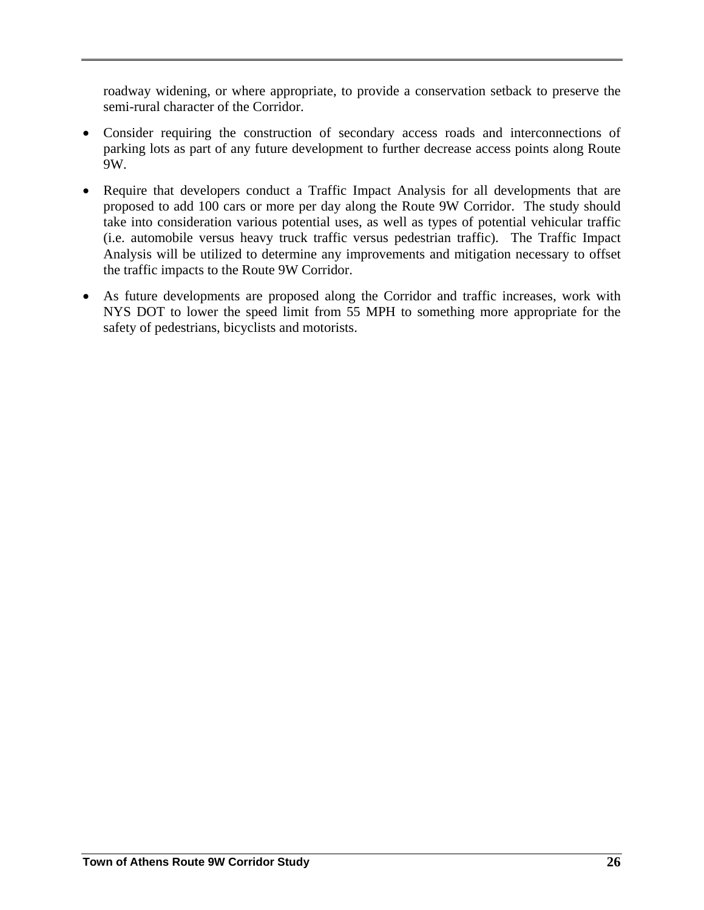roadway widening, or where appropriate, to provide a conservation setback to preserve the semi-rural character of the Corridor.

- Consider requiring the construction of secondary access roads and interconnections of parking lots as part of any future development to further decrease access points along Route 9W.
- Require that developers conduct a Traffic Impact Analysis for all developments that are proposed to add 100 cars or more per day along the Route 9W Corridor. The study should take into consideration various potential uses, as well as types of potential vehicular traffic (i.e. automobile versus heavy truck traffic versus pedestrian traffic). The Traffic Impact Analysis will be utilized to determine any improvements and mitigation necessary to offset the traffic impacts to the Route 9W Corridor.
- As future developments are proposed along the Corridor and traffic increases, work with NYS DOT to lower the speed limit from 55 MPH to something more appropriate for the safety of pedestrians, bicyclists and motorists.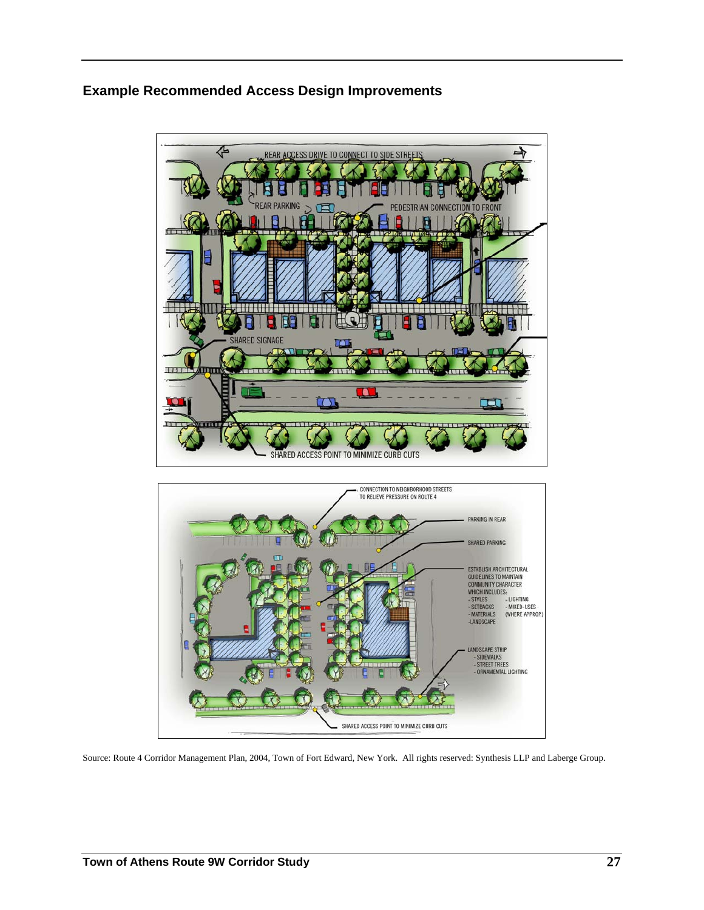## **Example Recommended Access Design Improvements**



Source: Route 4 Corridor Management Plan, 2004, Town of Fort Edward, New York. All rights reserved: Synthesis LLP and Laberge Group.

SHARED ACCESS POINT TO MINIMIZE CURB CUTS

ORNAMENTAL LIGHTING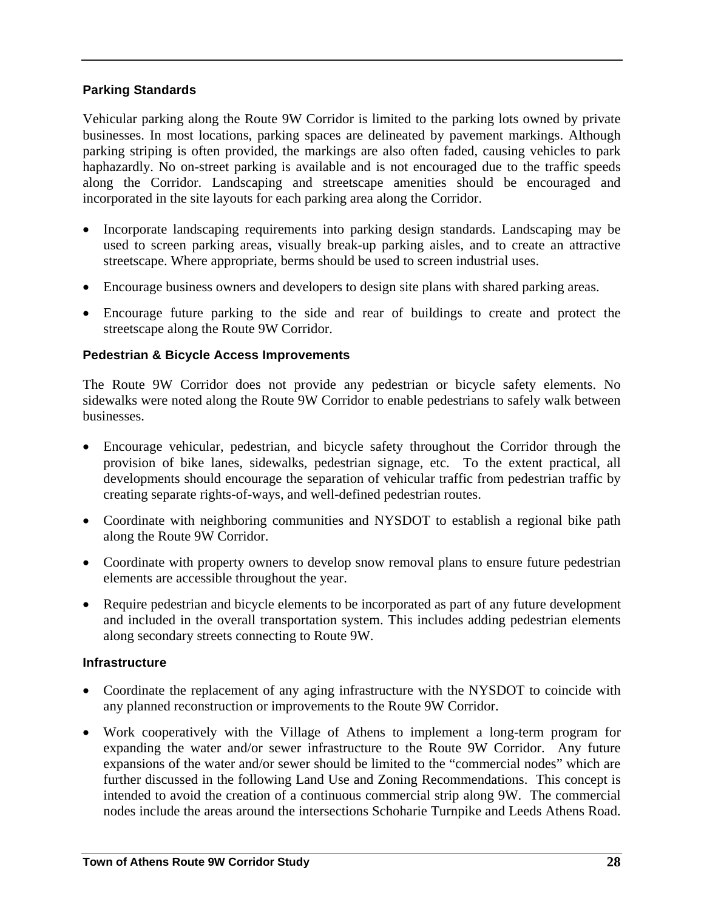#### **Parking Standards**

Vehicular parking along the Route 9W Corridor is limited to the parking lots owned by private businesses. In most locations, parking spaces are delineated by pavement markings. Although parking striping is often provided, the markings are also often faded, causing vehicles to park haphazardly. No on-street parking is available and is not encouraged due to the traffic speeds along the Corridor. Landscaping and streetscape amenities should be encouraged and incorporated in the site layouts for each parking area along the Corridor.

- Incorporate landscaping requirements into parking design standards. Landscaping may be used to screen parking areas, visually break-up parking aisles, and to create an attractive streetscape. Where appropriate, berms should be used to screen industrial uses.
- Encourage business owners and developers to design site plans with shared parking areas.
- Encourage future parking to the side and rear of buildings to create and protect the streetscape along the Route 9W Corridor.

#### **Pedestrian & Bicycle Access Improvements**

The Route 9W Corridor does not provide any pedestrian or bicycle safety elements. No sidewalks were noted along the Route 9W Corridor to enable pedestrians to safely walk between businesses.

- Encourage vehicular, pedestrian, and bicycle safety throughout the Corridor through the provision of bike lanes, sidewalks, pedestrian signage, etc. To the extent practical, all developments should encourage the separation of vehicular traffic from pedestrian traffic by creating separate rights-of-ways, and well-defined pedestrian routes.
- Coordinate with neighboring communities and NYSDOT to establish a regional bike path along the Route 9W Corridor.
- Coordinate with property owners to develop snow removal plans to ensure future pedestrian elements are accessible throughout the year.
- Require pedestrian and bicycle elements to be incorporated as part of any future development and included in the overall transportation system. This includes adding pedestrian elements along secondary streets connecting to Route 9W.

#### **Infrastructure**

- Coordinate the replacement of any aging infrastructure with the NYSDOT to coincide with any planned reconstruction or improvements to the Route 9W Corridor.
- Work cooperatively with the Village of Athens to implement a long-term program for expanding the water and/or sewer infrastructure to the Route 9W Corridor. Any future expansions of the water and/or sewer should be limited to the "commercial nodes" which are further discussed in the following Land Use and Zoning Recommendations. This concept is intended to avoid the creation of a continuous commercial strip along 9W. The commercial nodes include the areas around the intersections Schoharie Turnpike and Leeds Athens Road.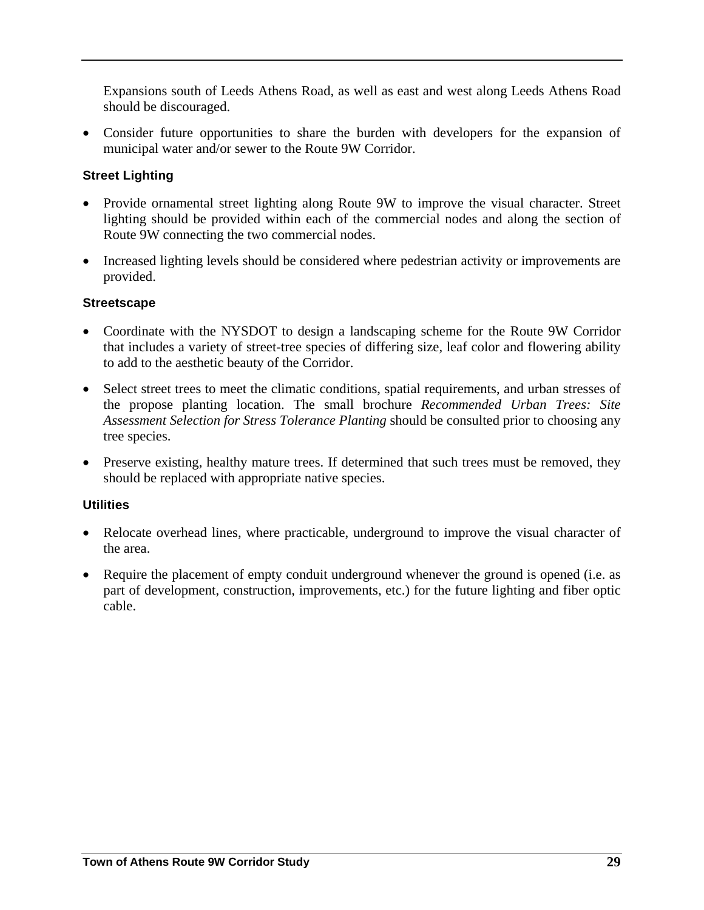Expansions south of Leeds Athens Road, as well as east and west along Leeds Athens Road should be discouraged.

• Consider future opportunities to share the burden with developers for the expansion of municipal water and/or sewer to the Route 9W Corridor.

#### **Street Lighting**

- Provide ornamental street lighting along Route 9W to improve the visual character. Street lighting should be provided within each of the commercial nodes and along the section of Route 9W connecting the two commercial nodes.
- Increased lighting levels should be considered where pedestrian activity or improvements are provided.

#### **Streetscape**

- Coordinate with the NYSDOT to design a landscaping scheme for the Route 9W Corridor that includes a variety of street-tree species of differing size, leaf color and flowering ability to add to the aesthetic beauty of the Corridor.
- Select street trees to meet the climatic conditions, spatial requirements, and urban stresses of the propose planting location. The small brochure *Recommended Urban Trees: Site Assessment Selection for Stress Tolerance Planting* should be consulted prior to choosing any tree species.
- Preserve existing, healthy mature trees. If determined that such trees must be removed, they should be replaced with appropriate native species.

#### **Utilities**

- Relocate overhead lines, where practicable, underground to improve the visual character of the area.
- Require the placement of empty conduit underground whenever the ground is opened (i.e. as part of development, construction, improvements, etc.) for the future lighting and fiber optic cable.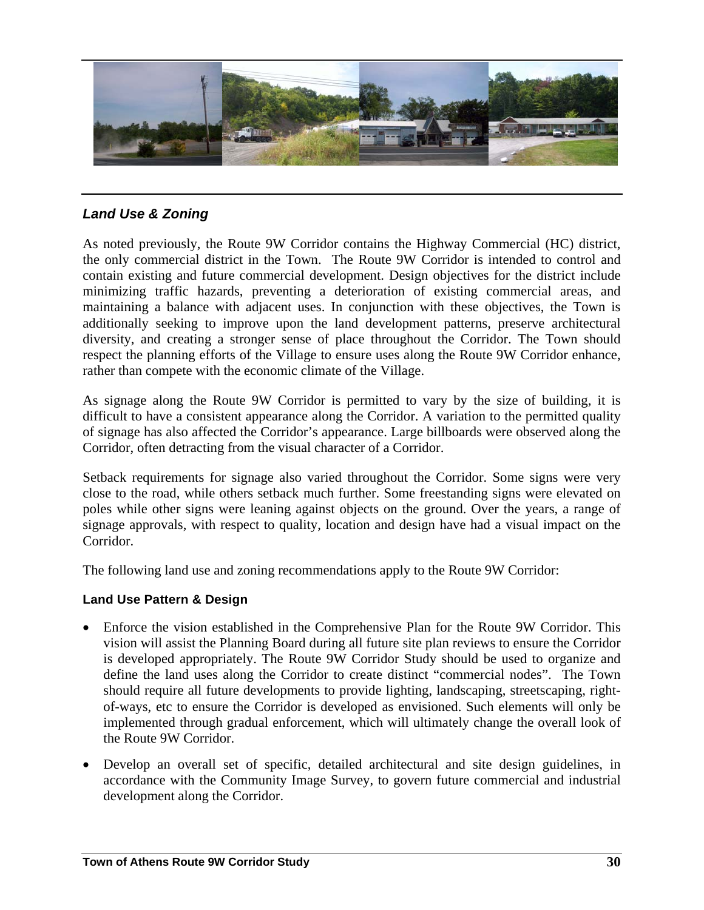

### *Land Use & Zoning*

As noted previously, the Route 9W Corridor contains the Highway Commercial (HC) district, the only commercial district in the Town. The Route 9W Corridor is intended to control and contain existing and future commercial development. Design objectives for the district include minimizing traffic hazards, preventing a deterioration of existing commercial areas, and maintaining a balance with adjacent uses. In conjunction with these objectives, the Town is additionally seeking to improve upon the land development patterns, preserve architectural diversity, and creating a stronger sense of place throughout the Corridor. The Town should respect the planning efforts of the Village to ensure uses along the Route 9W Corridor enhance, rather than compete with the economic climate of the Village.

As signage along the Route 9W Corridor is permitted to vary by the size of building, it is difficult to have a consistent appearance along the Corridor. A variation to the permitted quality of signage has also affected the Corridor's appearance. Large billboards were observed along the Corridor, often detracting from the visual character of a Corridor.

Setback requirements for signage also varied throughout the Corridor. Some signs were very close to the road, while others setback much further. Some freestanding signs were elevated on poles while other signs were leaning against objects on the ground. Over the years, a range of signage approvals, with respect to quality, location and design have had a visual impact on the Corridor.

The following land use and zoning recommendations apply to the Route 9W Corridor:

#### **Land Use Pattern & Design**

- Enforce the vision established in the Comprehensive Plan for the Route 9W Corridor. This vision will assist the Planning Board during all future site plan reviews to ensure the Corridor is developed appropriately. The Route 9W Corridor Study should be used to organize and define the land uses along the Corridor to create distinct "commercial nodes". The Town should require all future developments to provide lighting, landscaping, streetscaping, rightof-ways, etc to ensure the Corridor is developed as envisioned. Such elements will only be implemented through gradual enforcement, which will ultimately change the overall look of the Route 9W Corridor.
- Develop an overall set of specific, detailed architectural and site design guidelines, in accordance with the Community Image Survey, to govern future commercial and industrial development along the Corridor.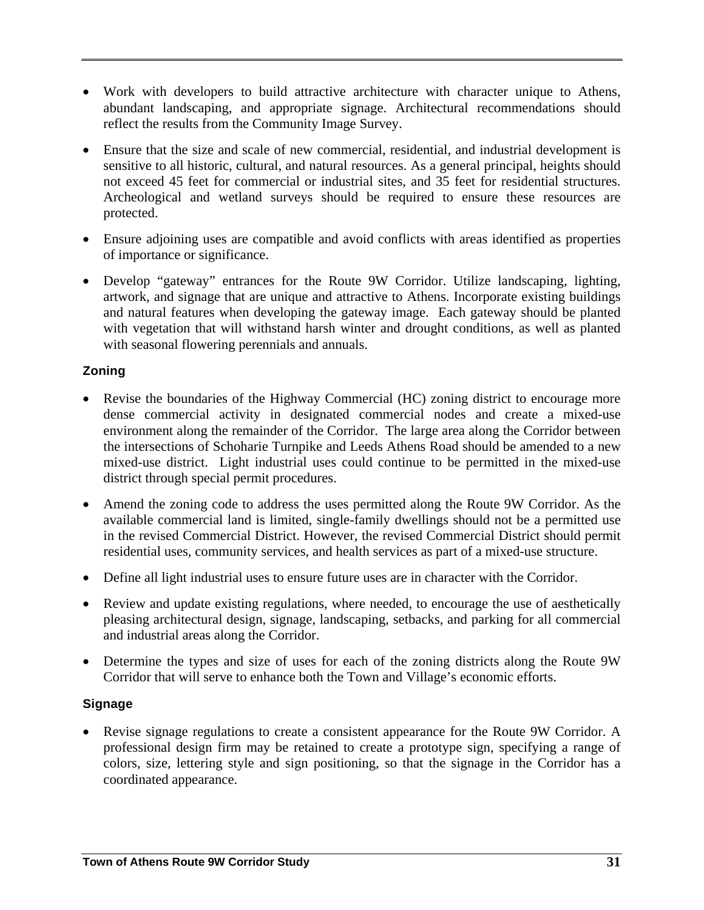- Work with developers to build attractive architecture with character unique to Athens, abundant landscaping, and appropriate signage. Architectural recommendations should reflect the results from the Community Image Survey.
- Ensure that the size and scale of new commercial, residential, and industrial development is sensitive to all historic, cultural, and natural resources. As a general principal, heights should not exceed 45 feet for commercial or industrial sites, and 35 feet for residential structures. Archeological and wetland surveys should be required to ensure these resources are protected.
- Ensure adjoining uses are compatible and avoid conflicts with areas identified as properties of importance or significance.
- Develop "gateway" entrances for the Route 9W Corridor. Utilize landscaping, lighting, artwork, and signage that are unique and attractive to Athens. Incorporate existing buildings and natural features when developing the gateway image. Each gateway should be planted with vegetation that will withstand harsh winter and drought conditions, as well as planted with seasonal flowering perennials and annuals.

#### **Zoning**

- Revise the boundaries of the Highway Commercial (HC) zoning district to encourage more dense commercial activity in designated commercial nodes and create a mixed-use environment along the remainder of the Corridor. The large area along the Corridor between the intersections of Schoharie Turnpike and Leeds Athens Road should be amended to a new mixed-use district. Light industrial uses could continue to be permitted in the mixed-use district through special permit procedures.
- Amend the zoning code to address the uses permitted along the Route 9W Corridor. As the available commercial land is limited, single-family dwellings should not be a permitted use in the revised Commercial District. However, the revised Commercial District should permit residential uses, community services, and health services as part of a mixed-use structure.
- Define all light industrial uses to ensure future uses are in character with the Corridor.
- Review and update existing regulations, where needed, to encourage the use of aesthetically pleasing architectural design, signage, landscaping, setbacks, and parking for all commercial and industrial areas along the Corridor.
- Determine the types and size of uses for each of the zoning districts along the Route 9W Corridor that will serve to enhance both the Town and Village's economic efforts.

#### **Signage**

• Revise signage regulations to create a consistent appearance for the Route 9W Corridor. A professional design firm may be retained to create a prototype sign, specifying a range of colors, size, lettering style and sign positioning, so that the signage in the Corridor has a coordinated appearance.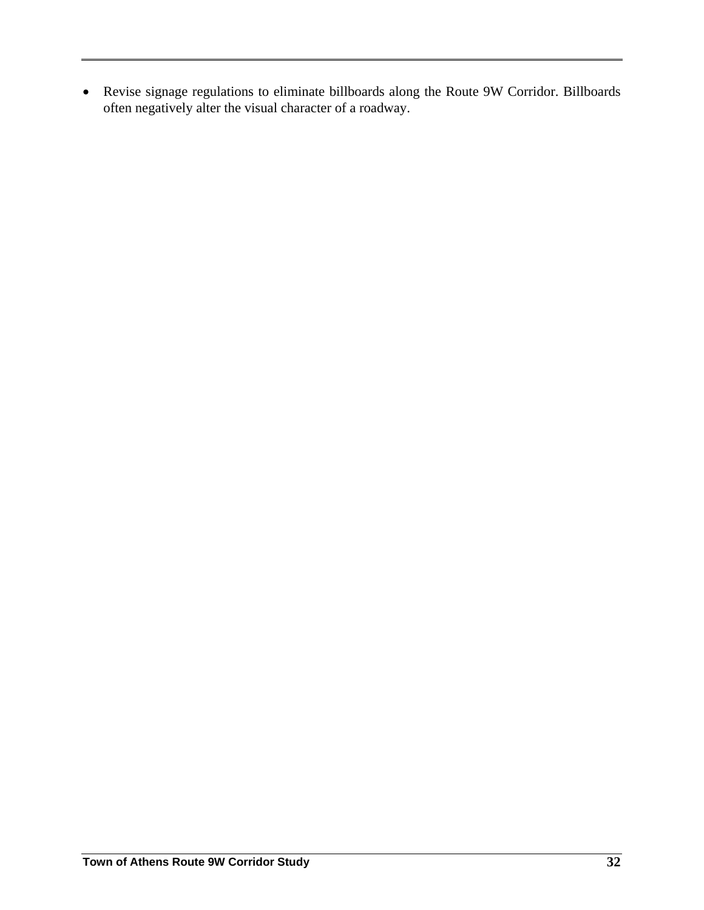• Revise signage regulations to eliminate billboards along the Route 9W Corridor. Billboards often negatively alter the visual character of a roadway.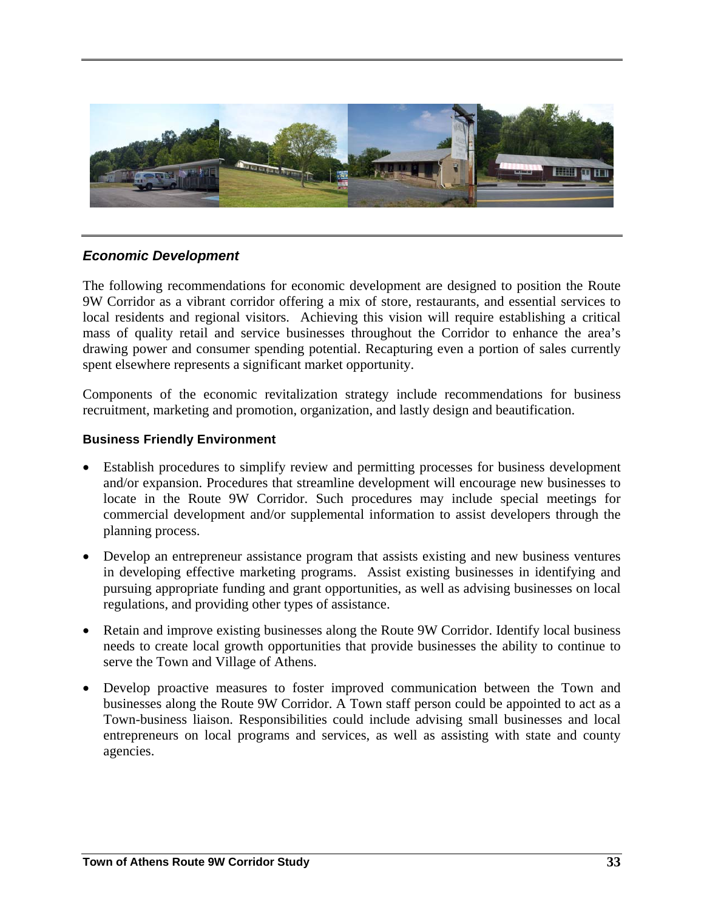

#### *Economic Development*

The following recommendations for economic development are designed to position the Route 9W Corridor as a vibrant corridor offering a mix of store, restaurants, and essential services to local residents and regional visitors. Achieving this vision will require establishing a critical mass of quality retail and service businesses throughout the Corridor to enhance the area's drawing power and consumer spending potential. Recapturing even a portion of sales currently spent elsewhere represents a significant market opportunity.

Components of the economic revitalization strategy include recommendations for business recruitment, marketing and promotion, organization, and lastly design and beautification.

#### **Business Friendly Environment**

- Establish procedures to simplify review and permitting processes for business development and/or expansion. Procedures that streamline development will encourage new businesses to locate in the Route 9W Corridor. Such procedures may include special meetings for commercial development and/or supplemental information to assist developers through the planning process.
- Develop an entrepreneur assistance program that assists existing and new business ventures in developing effective marketing programs. Assist existing businesses in identifying and pursuing appropriate funding and grant opportunities, as well as advising businesses on local regulations, and providing other types of assistance.
- Retain and improve existing businesses along the Route 9W Corridor. Identify local business needs to create local growth opportunities that provide businesses the ability to continue to serve the Town and Village of Athens.
- Develop proactive measures to foster improved communication between the Town and businesses along the Route 9W Corridor. A Town staff person could be appointed to act as a Town-business liaison. Responsibilities could include advising small businesses and local entrepreneurs on local programs and services, as well as assisting with state and county agencies.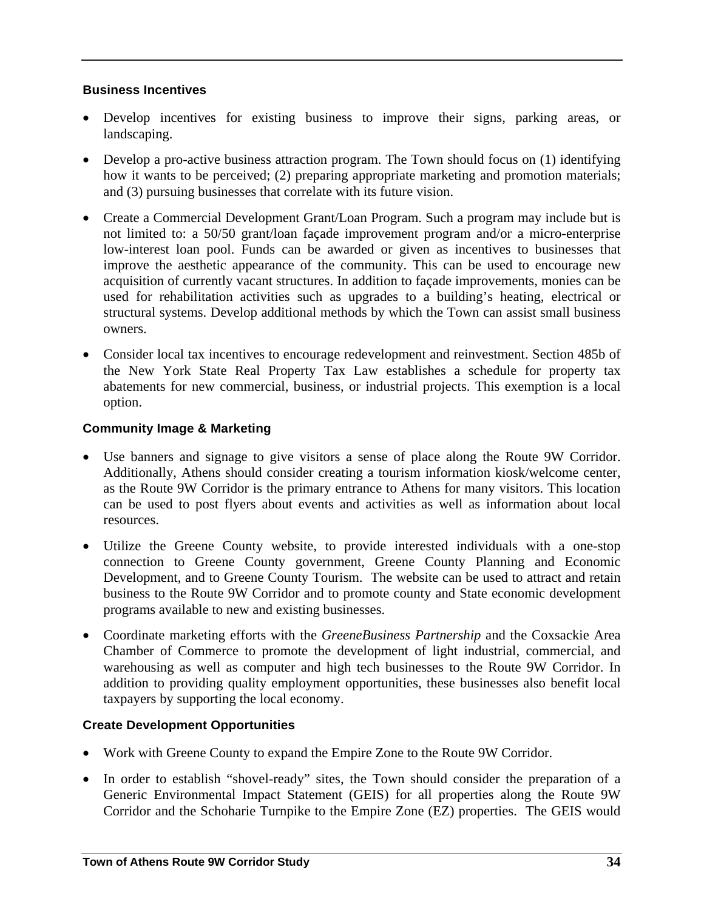#### **Business Incentives**

- Develop incentives for existing business to improve their signs, parking areas, or landscaping.
- Develop a pro-active business attraction program. The Town should focus on (1) identifying how it wants to be perceived; (2) preparing appropriate marketing and promotion materials; and (3) pursuing businesses that correlate with its future vision.
- Create a Commercial Development Grant/Loan Program. Such a program may include but is not limited to: a 50/50 grant/loan façade improvement program and/or a micro-enterprise low-interest loan pool. Funds can be awarded or given as incentives to businesses that improve the aesthetic appearance of the community. This can be used to encourage new acquisition of currently vacant structures. In addition to façade improvements, monies can be used for rehabilitation activities such as upgrades to a building's heating, electrical or structural systems. Develop additional methods by which the Town can assist small business owners.
- Consider local tax incentives to encourage redevelopment and reinvestment. Section 485b of the New York State Real Property Tax Law establishes a schedule for property tax abatements for new commercial, business, or industrial projects. This exemption is a local option.

#### **Community Image & Marketing**

- Use banners and signage to give visitors a sense of place along the Route 9W Corridor. Additionally, Athens should consider creating a tourism information kiosk/welcome center, as the Route 9W Corridor is the primary entrance to Athens for many visitors. This location can be used to post flyers about events and activities as well as information about local resources.
- Utilize the Greene County website, to provide interested individuals with a one-stop connection to Greene County government, Greene County Planning and Economic Development, and to Greene County Tourism. The website can be used to attract and retain business to the Route 9W Corridor and to promote county and State economic development programs available to new and existing businesses.
- Coordinate marketing efforts with the *GreeneBusiness Partnership* and the Coxsackie Area Chamber of Commerce to promote the development of light industrial, commercial, and warehousing as well as computer and high tech businesses to the Route 9W Corridor. In addition to providing quality employment opportunities, these businesses also benefit local taxpayers by supporting the local economy.

#### **Create Development Opportunities**

- Work with Greene County to expand the Empire Zone to the Route 9W Corridor.
- In order to establish "shovel-ready" sites, the Town should consider the preparation of a Generic Environmental Impact Statement (GEIS) for all properties along the Route 9W Corridor and the Schoharie Turnpike to the Empire Zone (EZ) properties. The GEIS would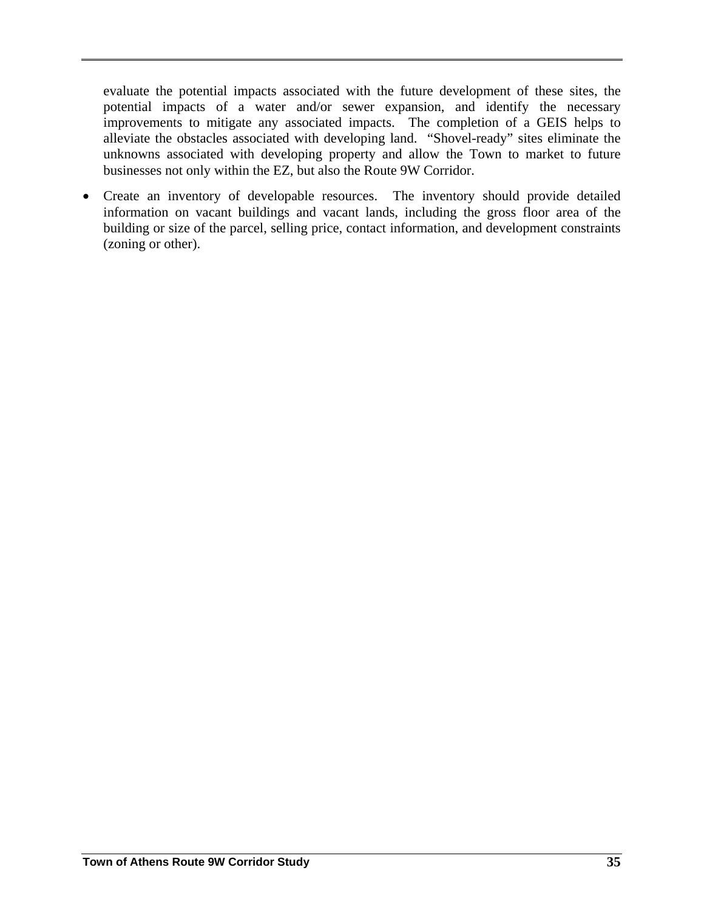evaluate the potential impacts associated with the future development of these sites, the potential impacts of a water and/or sewer expansion, and identify the necessary improvements to mitigate any associated impacts. The completion of a GEIS helps to alleviate the obstacles associated with developing land. "Shovel-ready" sites eliminate the unknowns associated with developing property and allow the Town to market to future businesses not only within the EZ, but also the Route 9W Corridor.

• Create an inventory of developable resources.The inventory should provide detailed information on vacant buildings and vacant lands, including the gross floor area of the building or size of the parcel, selling price, contact information, and development constraints (zoning or other).